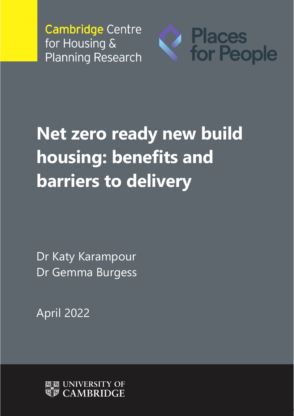

# **Net zero ready new build housing: benefits and barriers to delivery**

Dr Katy Karampour Dr Gemma Burgess

April 2022

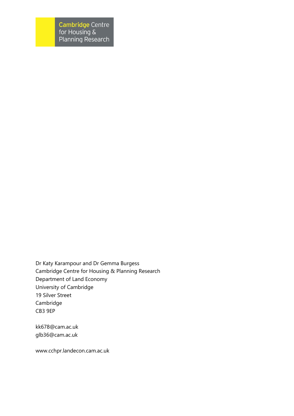Dr Katy Karampour and Dr Gemma Burgess Cambridge Centre for Housing & Planning Research Department of Land Economy University of Cambridge 19 Silver Street Cambridge CB3 9EP

kk678@cam.ac.uk [glb36@cam.ac.uk](mailto:glb36@cam.ac.uk)

www.cchpr.landecon.cam.ac.uk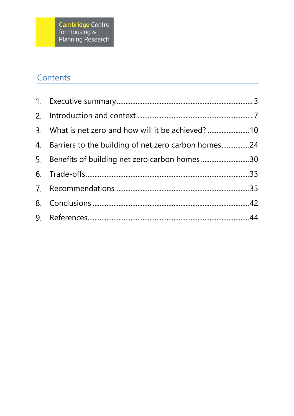# Contents

| 3. What is net zero and how will it be achieved?       |  |
|--------------------------------------------------------|--|
| 4. Barriers to the building of net zero carbon homes24 |  |
| 5. Benefits of building net zero carbon homes30        |  |
|                                                        |  |
|                                                        |  |
|                                                        |  |
|                                                        |  |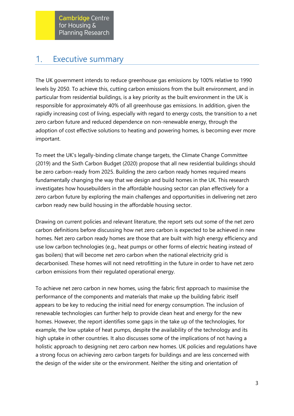#### <span id="page-3-0"></span>Executive summary 1.

The UK government intends to reduce greenhouse gas emissions by 100% relative to 1990 levels by 2050. To achieve this, cutting carbon emissions from the built environment, and in particular from residential buildings, is a key priority as the built environment in the UK is responsible for approximately 40% of all greenhouse gas emissions. In addition, given the rapidly increasing cost of living, especially with regard to energy costs, the transition to a net zero carbon future and reduced dependence on non-renewable energy, through the adoption of cost effective solutions to heating and powering homes, is becoming ever more important.

To meet the UK's legally-binding climate change targets, the Climate Change Committee (2019) and the Sixth Carbon Budget (2020) propose that all new residential buildings should be zero carbon-ready from 2025. Building the zero carbon ready homes required means fundamentally changing the way that we design and build homes in the UK. This research investigates how housebuilders in the affordable housing sector can plan effectively for a zero carbon future by exploring the main challenges and opportunities in delivering net zero carbon ready new build housing in the affordable housing sector.

Drawing on current policies and relevant literature, the report sets out some of the net zero carbon definitions before discussing how net zero carbon is expected to be achieved in new homes. Net zero carbon ready homes are those that are built with high energy efficiency and use low carbon technologies (e.g., heat pumps or other forms of electric heating instead of gas boilers) that will become net zero carbon when the national electricity grid is decarbonised. These homes will not need retrofitting in the future in order to have net zero carbon emissions from their regulated operational energy.

To achieve net zero carbon in new homes, using the fabric first approach to maximise the performance of the components and materials that make up the building fabric itself appears to be key to reducing the initial need for energy consumption. The inclusion of renewable technologies can further help to provide clean heat and energy for the new homes. However, the report identifies some gaps in the take up of the technologies, for example, the low uptake of heat pumps, despite the availability of the technology and its high uptake in other countries. It also discusses some of the implications of not having a holistic approach to designing net zero carbon new homes. UK policies and regulations have a strong focus on achieving zero carbon targets for buildings and are less concerned with the design of the wider site or the environment. Neither the siting and orientation of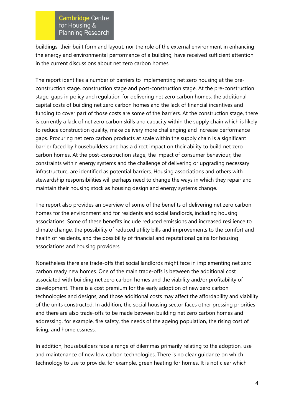buildings, their built form and layout, nor the role of the external environment in enhancing the energy and environmental performance of a building, have received sufficient attention in the current discussions about net zero carbon homes.

The report identifies a number of barriers to implementing net zero housing at the preconstruction stage, construction stage and post-construction stage. At the pre-construction stage, gaps in policy and regulation for delivering net zero carbon homes, the additional capital costs of building net zero carbon homes and the lack of financial incentives and funding to cover part of those costs are some of the barriers. At the construction stage, there is currently a lack of net zero carbon skills and capacity within the supply chain which is likely to reduce construction quality, make delivery more challenging and increase performance gaps. Procuring net zero carbon products at scale within the supply chain is a significant barrier faced by housebuilders and has a direct impact on their ability to build net zero carbon homes. At the post-construction stage, the impact of consumer behaviour, the constraints within energy systems and the challenge of delivering or upgrading necessary infrastructure, are identified as potential barriers. Housing associations and others with stewardship responsibilities will perhaps need to change the ways in which they repair and maintain their housing stock as housing design and energy systems change.

The report also provides an overview of some of the benefits of delivering net zero carbon homes for the environment and for residents and social landlords, including housing associations. Some of these benefits include reduced emissions and increased resilience to climate change, the possibility of reduced utility bills and improvements to the comfort and health of residents, and the possibility of financial and reputational gains for housing associations and housing providers.

Nonetheless there are trade-offs that social landlords might face in implementing net zero carbon ready new homes. One of the main trade-offs is between the additional cost associated with building net zero carbon homes and the viability and/or profitability of development. There is a cost premium for the early adoption of new zero carbon technologies and designs, and those additional costs may affect the affordability and viability of the units constructed. In addition, the social housing sector faces other pressing priorities and there are also trade-offs to be made between building net zero carbon homes and addressing, for example, fire safety, the needs of the ageing population, the rising cost of living, and homelessness.

In addition, housebuilders face a range of dilemmas primarily relating to the adoption, use and maintenance of new low carbon technologies. There is no clear guidance on which technology to use to provide, for example, green heating for homes. It is not clear which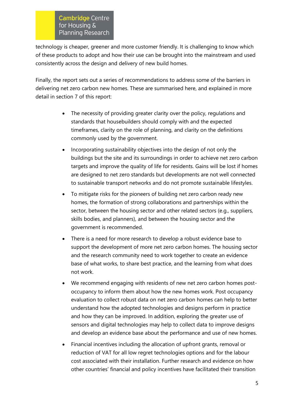technology is cheaper, greener and more customer friendly. It is challenging to know which of these products to adopt and how their use can be brought into the mainstream and used consistently across the design and delivery of new build homes.

Finally, the report sets out a series of recommendations to address some of the barriers in delivering net zero carbon new homes. These are summarised here, and explained in more detail in section 7 of this report:

- The necessity of providing greater clarity over the policy, regulations and standards that housebuilders should comply with and the expected timeframes, clarity on the role of planning, and clarity on the definitions commonly used by the government.
- Incorporating sustainability objectives into the design of not only the buildings but the site and its surroundings in order to achieve net zero carbon targets and improve the quality of life for residents. Gains will be lost if homes are designed to net zero standards but developments are not well connected to sustainable transport networks and do not promote sustainable lifestyles.
- To mitigate risks for the pioneers of building net zero carbon ready new homes, the formation of strong collaborations and partnerships within the sector, between the housing sector and other related sectors (e.g., suppliers, skills bodies, and planners), and between the housing sector and the government is recommended.
- There is a need for more research to develop a robust evidence base to support the development of more net zero carbon homes. The housing sector and the research community need to work together to create an evidence base of what works, to share best practice, and the learning from what does not work.
- We recommend engaging with residents of new net zero carbon homes postoccupancy to inform them about how the new homes work. Post occupancy evaluation to collect robust data on net zero carbon homes can help to better understand how the adopted technologies and designs perform in practice and how they can be improved. In addition, exploring the greater use of sensors and digital technologies may help to collect data to improve designs and develop an evidence base about the performance and use of new homes.
- Financial incentives including the allocation of upfront grants, removal or reduction of VAT for all low regret technologies options and for the labour cost associated with their installation. Further research and evidence on how other countries' financial and policy incentives have facilitated their transition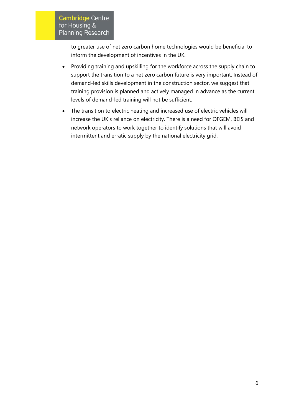to greater use of net zero carbon home technologies would be beneficial to inform the development of incentives in the UK.

- Providing training and upskilling for the workforce across the supply chain to support the transition to a net zero carbon future is very important. Instead of demand-led skills development in the construction sector, we suggest that training provision is planned and actively managed in advance as the current levels of demand-led training will not be sufficient.
- The transition to electric heating and increased use of electric vehicles will increase the UK's reliance on electricity. There is a need for OFGEM, BEIS and network operators to work together to identify solutions that will avoid intermittent and erratic supply by the national electricity grid.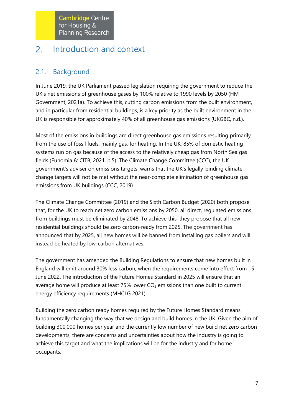#### <span id="page-7-0"></span> $2.$ Introduction and context

## 2.1. Background

In June 2019, the UK Parliament passed legislation requiring the government to reduce the UK's net emissions of greenhouse gases by 100% relative to 1990 levels by 2050 (HM Government, 2021a). To achieve this, cutting carbon emissions from the built environment, and in particular from residential buildings, is a key priority as the built environment in the UK is responsible for approximately 40% of all greenhouse gas emissions (UKGBC, n.d.).

Most of the emissions in buildings are direct greenhouse gas emissions resulting primarily from the use of fossil fuels, mainly gas, for heating. In the UK, 85% of domestic heating systems run on gas because of the access to the relatively cheap gas from North Sea gas fields (Eunomia & CITB, 2021, p.5). The Climate Change Committee (CCC), the UK government's adviser on emissions targets, warns that the UK's legally-binding climate change targets will not be met without the near-complete elimination of greenhouse gas emissions from UK buildings (CCC, 2019).

The Climate Change Committee (2019) and the Sixth Carbon Budget (2020) both propose that, for the UK to reach net zero carbon emissions by 2050, all direct, regulated emissions from buildings must be eliminated by 2048. To achieve this, they propose that all new residential buildings should be zero carbon-ready from 2025. The government has announced that by 2025, all new homes will be banned from installing gas boilers and will instead be heated by low-carbon alternatives.

The government has amended the Building Regulations to ensure that new homes built in England will emit around 30% less carbon, when the requirements come into effect from 15 June 2022. The introduction of the Future Homes Standard in 2025 will ensure that an average home will produce at least  $75\%$  lower  $CO<sub>2</sub>$  emissions than one built to current energy efficiency requirements (MHCLG 2021).

Building the zero carbon ready homes required by the Future Homes Standard means fundamentally changing the way that we design and build homes in the UK. Given the aim of building 300,000 homes per year and the currently low number of new build net zero carbon developments, there are concerns and uncertainties about how the industry is going to achieve this target and what the implications will be for the industry and for home occupants.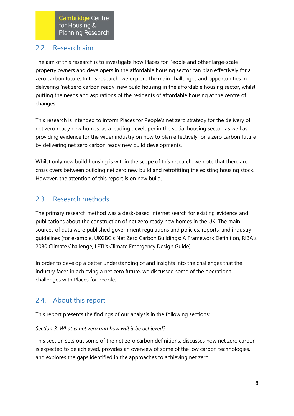## 2.2. Research aim

The aim of this research is to investigate how Places for People and other large-scale property owners and developers in the affordable housing sector can plan effectively for a zero carbon future. In this research, we explore the main challenges and opportunities in delivering 'net zero carbon ready' new build housing in the affordable housing sector, whilst putting the needs and aspirations of the residents of affordable housing at the centre of changes.

This research is intended to inform Places for People's net zero strategy for the delivery of net zero ready new homes, as a leading developer in the social housing sector, as well as providing evidence for the wider industry on how to plan effectively for a zero carbon future by delivering net zero carbon ready new build developments.

Whilst only new build housing is within the scope of this research, we note that there are cross overs between building net zero new build and retrofitting the existing housing stock. However, the attention of this report is on new build.

## 2.3. Research methods

The primary research method was a desk-based internet search for existing evidence and publications about the construction of net zero ready new homes in the UK. The main sources of data were published government regulations and policies, reports, and industry guidelines (for example, UKGBC's Net Zero Carbon Buildings: A Framework Definition, RIBA's 2030 Climate Challenge, LETI's Climate Emergency Design Guide).

In order to develop a better understanding of and insights into the challenges that the industry faces in achieving a net zero future, we discussed some of the operational challenges with Places for People.

# 2.4. About this report

This report presents the findings of our analysis in the following sections:

## *Section 3: What is net zero and how will it be achieved?*

This section sets out some of the net zero carbon definitions, discusses how net zero carbon is expected to be achieved, provides an overview of some of the low carbon technologies, and explores the gaps identified in the approaches to achieving net zero.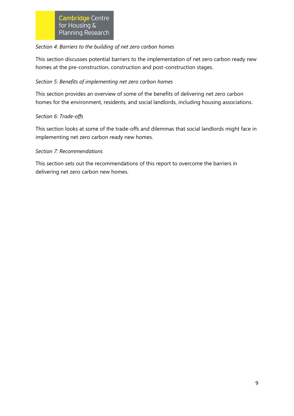#### *Section 4: Barriers to the building of net zero carbon homes*

This section discusses potential barriers to the implementation of net zero carbon ready new homes at the pre-construction, construction and post-construction stages.

## *Section 5: Benefits of implementing net zero carbon homes*

This section provides an overview of some of the benefits of delivering net zero carbon homes for the environment, residents, and social landlords, including housing associations.

## *Section 6: Trade-offs*

This section looks at some of the trade-offs and dilemmas that social landlords might face in implementing net zero carbon ready new homes.

#### *Section 7: Recommendations*

This section sets out the recommendations of this report to overcome the barriers in delivering net zero carbon new homes.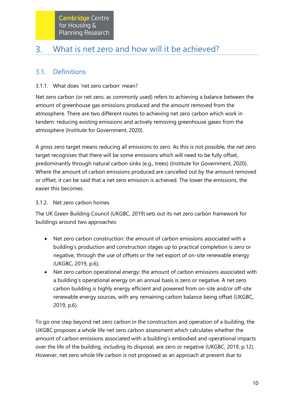#### <span id="page-10-0"></span> $3.$ What is net zero and how will it be achieved?

## 3.1. Definitions

## 3.1.1. What does 'net zero carbon' mean?

Net zero carbon (or net zero, as commonly used) refers to achieving a balance between the amount of greenhouse gas emissions produced and the amount removed from the atmosphere. There are two different routes to achieving net zero carbon which work in tandem: reducing existing emissions and actively removing greenhouse gases from the atmosphere (Institute for Government, 2020).

A *gross* zero target means reducing all emissions to zero. As this is not possible, the *net* zero target recognises that there will be some emissions which will need to be fully offset, predominantly through natural carbon sinks (e.g., trees) (Institute for Government, 2020). Where the amount of carbon emissions produced are cancelled out by the amount removed or offset, it can be said that a net zero emission is achieved. The lower the emissions, the easier this becomes.

## 3.1.2. Net zero carbon homes

The UK Green Building Council (UKGBC, 2019) sets out its net zero carbon framework for buildings around two approaches:

- Net zero carbon construction: the amount of carbon emissions associated with a building's production and construction stages up to practical completion is zero or negative, through the use of offsets or the net export of on-site renewable energy (UKGBC, 2019, p.6);
- Net zero carbon operational energy: the amount of carbon emissions associated with a building's operational energy on an annual basis is zero or negative. A net zero carbon building is highly energy efficient and powered from on-site and/or off-site renewable energy sources, with any remaining carbon balance being offset (UKGBC, 2019, p.6).

To go one step beyond net zero carbon in the construction and operation of a building, the UKGBC proposes a whole life net zero carbon assessment which calculates whether the amount of carbon emissions associated with a building's embodied and operational impacts over the life of the building, including its disposal, are zero or negative (UKGBC, 2019, p.12). However, net zero whole life carbon is not proposed as an approach at present due to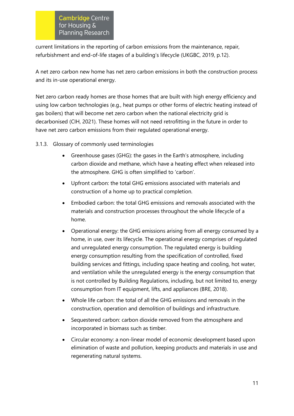current limitations in the reporting of carbon emissions from the maintenance, repair, refurbishment and end-of-life stages of a building's lifecycle (UKGBC, 2019, p.12).

A net zero carbon new home has net zero carbon emissions in both the construction process and its in-use operational energy.

Net zero carbon ready homes are those homes that are built with high energy efficiency and using low carbon technologies (e.g., heat pumps or other forms of electric heating instead of gas boilers) that will become net zero carbon when the national electricity grid is decarbonised (CIH, 2021). These homes will not need retrofitting in the future in order to have net zero carbon emissions from their regulated operational energy.

#### 3.1.3. Glossary of commonly used terminologies

- Greenhouse gases (GHG): the gases in the Earth's atmosphere, including carbon dioxide and methane, which have a heating effect when released into the atmosphere. GHG is often simplified to 'carbon'.
- Upfront carbon: the total GHG emissions associated with materials and construction of a home up to practical completion.
- Embodied carbon: the total GHG emissions and removals associated with the materials and construction processes throughout the whole lifecycle of a home.
- Operational energy: the GHG emissions arising from all energy consumed by a home, in use, over its lifecycle. The operational energy comprises of regulated and unregulated energy consumption. The regulated energy is building energy consumption resulting from the specification of controlled, fixed building services and fittings, including space heating and cooling, hot water, and ventilation while the unregulated energy is the energy consumption that is not controlled by Building Regulations, including, but not limited to, energy consumption from IT equipment, lifts, and appliances (BRE, 2018).
- Whole life carbon: the total of all the GHG emissions and removals in the construction, operation and demolition of buildings and infrastructure.
- Sequestered carbon: carbon dioxide removed from the atmosphere and incorporated in biomass such as timber.
- Circular economy: a non-linear model of economic development based upon elimination of waste and pollution, keeping products and materials in use and regenerating natural systems.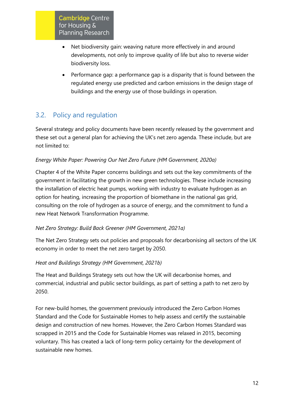- Net biodiversity gain: weaving nature more effectively in and around developments, not only to improve quality of life but also to reverse wider biodiversity loss.
- Performance gap: a performance gap is a disparity that is found between the regulated energy use predicted and carbon emissions in the design stage of buildings and the energy use of those buildings in operation.

# 3.2. Policy and regulation

Several strategy and policy documents have been recently released by the government and these set out a general plan for achieving the UK's net zero agenda. These include, but are not limited to:

## *Energy White Paper: Powering Our Net Zero Future (HM Government, 2020a)*

Chapter 4 of the White Paper concerns buildings and sets out the key commitments of the government in facilitating the growth in new green technologies. These include increasing the installation of electric heat pumps, working with industry to evaluate hydrogen as an option for heating, increasing the proportion of biomethane in the national gas grid, consulting on the role of hydrogen as a source of energy, and the commitment to fund a new Heat Network Transformation Programme.

#### *Net Zero Strategy: Build Back Greener (HM Government, 2021a)*

The Net Zero Strategy sets out policies and proposals for decarbonising all sectors of the UK economy in order to meet the net zero target by 2050.

## *Heat and Buildings Strategy (HM Government, 2021b)*

The Heat and Buildings Strategy sets out how the UK will decarbonise homes, and commercial, industrial and public sector buildings, as part of setting a path to net zero by 2050.

For new-build homes, the government previously introduced the Zero Carbon Homes Standard and the Code for Sustainable Homes to help assess and certify the sustainable design and construction of new homes. However, the Zero Carbon Homes Standard was scrapped in 2015 and the Code for Sustainable Homes was relaxed in 2015, becoming voluntary. This has created a lack of long-term policy certainty for the development of sustainable new homes.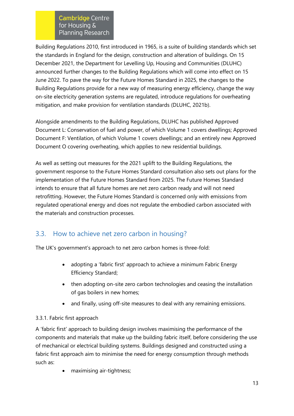Building Regulations 2010, first introduced in 1965, is a suite of building standards which set the standards in England for the design, construction and alteration of buildings. On 15 December 2021, the Department for Levelling Up, Housing and Communities (DLUHC) announced further changes to the Building Regulations which will come into effect on 15 June 2022. To pave the way for the Future Homes Standard in 2025, the changes to the Building Regulations provide for a new way of measuring energy efficiency, change the way on-site electricity generation systems are regulated, introduce regulations for overheating mitigation, and make provision for ventilation standards (DLUHC, 2021b).

Alongside amendments to the Building Regulations, DLUHC has published Approved Document L: Conservation of fuel and power, of which Volume 1 covers dwellings; Approved Document F: Ventilation, of which Volume 1 covers dwellings; and an entirely new Approved Document O covering overheating, which applies to new residential buildings.

As well as setting out measures for the 2021 uplift to the Building Regulations, the government response to the Future Homes Standard consultation also sets out plans for the implementation of the Future Homes Standard from 2025. The Future Homes Standard intends to ensure that all future homes are net zero carbon ready and will not need retrofitting. However, the Future Homes Standard is concerned only with emissions from regulated operational energy and does not regulate the embodied carbon associated with the materials and construction processes.

# 3.3. How to achieve net zero carbon in housing?

The UK's government's approach to net zero carbon homes is three-fold:

- adopting a 'fabric first' approach to achieve a minimum Fabric Energy Efficiency Standard;
- then adopting on-site zero carbon technologies and ceasing the installation of gas boilers in new homes;
- and finally, using off-site measures to deal with any remaining emissions.

## 3.3.1. Fabric first approach

A 'fabric first' approach to building design involves maximising the performance of the components and materials that make up the building fabric itself, before considering the use of mechanical or electrical building systems. Buildings designed and constructed using a fabric first approach aim to minimise the need for energy consumption through methods such as:

• maximising air-tightness;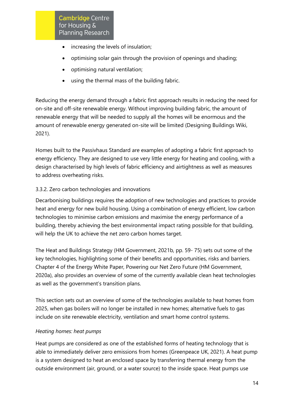- increasing the levels of insulation;
- optimising solar gain through the provision of openings and shading;
- optimising natural ventilation;
- using the thermal mass of the building fabric.

Reducing the energy demand through a fabric first approach results in reducing the need for on-site and off-site renewable energy. Without improving building fabric, the amount of renewable energy that will be needed to supply all the homes will be enormous and the amount of renewable energy generated on-site will be limited (Designing Buildings Wiki, 2021).

Homes built to the Passivhaus Standard are examples of adopting a fabric first approach to energy efficiency. They are designed to use very little energy for heating and cooling, with a design characterised by high levels of fabric efficiency and airtightness as well as measures to address overheating risks.

#### 3.3.2. Zero carbon technologies and innovations

Decarbonising buildings requires the adoption of new technologies and practices to provide heat and energy for new build housing. Using a combination of energy efficient, low carbon technologies to minimise carbon emissions and maximise the energy performance of a building, thereby achieving the best environmental impact rating possible for that building, will help the UK to achieve the net zero carbon homes target.

The Heat and Buildings Strategy (HM Government, 2021b, pp. 59- 75) sets out some of the key technologies, highlighting some of their benefits and opportunities, risks and barriers. Chapter 4 of the Energy White Paper, Powering our Net Zero Future (HM Government, 2020a), also provides an overview of some of the currently available clean heat technologies as well as the government's transition plans.

This section sets out an overview of some of the technologies available to heat homes from 2025, when gas boilers will no longer be installed in new homes; alternative fuels to gas include on site renewable electricity, ventilation and smart home control systems.

#### *Heating homes: heat pumps*

Heat pumps are considered as one of the established forms of heating technology that is able to immediately deliver zero emissions from homes (Greenpeace UK, 2021). A heat pump is a system designed to heat an enclosed space by transferring thermal energy from the outside environment (air, ground, or a water source) to the inside space. Heat pumps use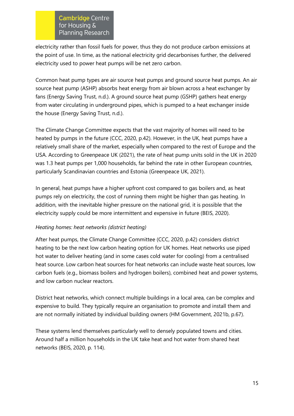electricity rather than fossil fuels for power, thus they do not produce carbon emissions at the point of use. In time, as the national electricity grid decarbonises further, the delivered electricity used to power heat pumps will be net zero carbon.

Common heat pump types are air source heat pumps and ground source heat pumps. An air source heat pump (ASHP) absorbs heat energy from air blown across a heat exchanger by fans (Energy Saving Trust, n.d.). A ground source heat pump (GSHP) gathers heat energy from water circulating in underground pipes, which is pumped to a heat exchanger inside the house (Energy Saving Trust, n.d.).

The Climate Change Committee expects that the vast majority of homes will need to be heated by pumps in the future (CCC, 2020, p.42). However, in the UK, heat pumps have a relatively small share of the market, especially when compared to the rest of Europe and the USA. According to Greenpeace UK (2021), the rate of heat pump units sold in the UK in 2020 was 1.3 heat pumps per 1,000 households, far behind the rate in other European countries, particularly Scandinavian countries and Estonia (Greenpeace UK, 2021).

In general, heat pumps have a higher upfront cost compared to gas boilers and, as heat pumps rely on electricity, the cost of running them might be higher than gas heating. In addition, with the inevitable higher pressure on the national grid, it is possible that the electricity supply could be more intermittent and expensive in future (BEIS, 2020).

#### *Heating homes: heat networks (district heating)*

After heat pumps, the Climate Change Committee (CCC, 2020, p.42) considers district heating to be the next low carbon heating option for UK homes. Heat networks use piped hot water to deliver heating (and in some cases cold water for cooling) from a centralised heat source. Low carbon heat sources for heat networks can include waste heat sources, low carbon fuels (e.g., biomass boilers and hydrogen boilers), combined heat and power systems, and low carbon nuclear reactors.

District heat networks, which connect multiple buildings in a local area, can be complex and expensive to build. They typically require an organisation to promote and install them and are not normally initiated by individual building owners (HM Government, 2021b, p.67).

These systems lend themselves particularly well to densely populated towns and cities. Around half a million households in the UK take heat and hot water from shared heat networks (BEIS, 2020, p. 114).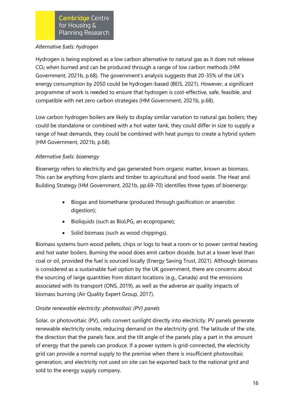#### *Alternative fuels: hydrogen*

Hydrogen is being explored as a low carbon alternative to natural gas as it does not release CO<sup>2</sup> when burned and can be produced through a range of low carbon methods (HM Government, 2021b, p.68). The government's analysis suggests that 20-35% of the UK's energy consumption by 2050 could be hydrogen-based (BEIS, 2021). However, a significant programme of work is needed to ensure that hydrogen is cost-effective, safe, feasible, and compatible with net zero carbon strategies (HM Government, 2021b, p.68).

Low carbon hydrogen boilers are likely to display similar variation to natural gas boilers; they could be standalone or combined with a hot water tank, they could differ in size to supply a range of heat demands, they could be combined with heat pumps to create a hybrid system (HM Government, 2021b, p.68).

## *Alternative fuels: bioenergy*

Bioenergy refers to electricity and gas generated from organic matter, known as biomass. This can be anything from plants and timber to agricultural and food waste. The Heat and Building Strategy (HM Government, 2021b, pp.69-70) identifies three types of bioenergy:

- Biogas and biomethane (produced through gasification or anaerobic digestion);
- Bioliquids (such as BioLPG, an ecopropane);
- Solid biomass (such as wood chippings).

Biomass systems burn wood pellets, chips or logs to heat a room or to power central heating and hot water boilers. Burning the wood does emit carbon dioxide, but at a lower level than coal or oil, provided the fuel is sourced locally (Energy Saving Trust, 2021). Although biomass is considered as a sustainable fuel option by the UK government, there are concerns about the sourcing of large quantities from distant locations (e.g., Canada) and the emissions associated with its transport (ONS, 2019), as well as the adverse air quality impacts of biomass burning (Air Quality Expert Group, 2017).

## *Onsite renewable electricity: photovoltaic (PV) panels*

Solar, or photovoltaic (PV), cells convert sunlight directly into electricity. PV panels generate renewable electricity onsite, reducing demand on the electricity grid. The latitude of the site, the direction that the panels face, and the tilt angle of the panels play a part in the amount of energy that the panels can produce. If a power system is grid-connected, the electricity grid can provide a normal supply to the premise when there is insufficient photovoltaic generation, and electricity not used on site can be exported back to the national grid and sold to the energy supply company.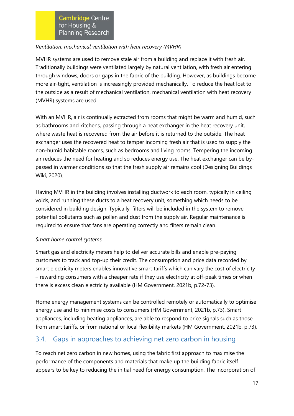#### *Ventilation: mechanical ventilation with heat recovery (MVHR)*

MVHR systems are used to remove stale air from a building and replace it with fresh air. Traditionally buildings were ventilated largely by natural ventilation, with fresh air entering through windows, doors or gaps in the fabric of the building. However, as buildings become more air-tight, ventilation is increasingly provided mechanically. To reduce the heat lost to the outside as a result of mechanical ventilation, mechanical ventilation with heat recovery (MVHR) systems are used.

With an MVHR, air is continually extracted from rooms that might be warm and humid, such as bathrooms and kitchens, passing through a heat exchanger in the heat recovery unit, where waste heat is recovered from the air before it is returned to the outside. The heat exchanger uses the recovered heat to temper incoming fresh air that is used to supply the non-humid habitable rooms, such as bedrooms and living rooms. Tempering the incoming air reduces the need for heating and so reduces energy use. The heat exchanger can be bypassed in warmer conditions so that the fresh supply air remains cool (Designing Buildings Wiki, 2020).

Having MVHR in the building involves installing ductwork to each room, typically in ceiling voids, and running these ducts to a heat recovery unit, something which needs to be considered in building design. Typically, filters will be included in the system to remove potential pollutants such as pollen and dust from the supply air. Regular maintenance is required to ensure that fans are operating correctly and filters remain clean.

## *Smart home control systems*

Smart gas and electricity meters help to deliver accurate bills and enable pre-paying customers to track and top-up their credit. The consumption and price data recorded by smart electricity meters enables innovative smart tariffs which can vary the cost of electricity – rewarding consumers with a cheaper rate if they use electricity at off-peak times or when there is excess clean electricity available (HM Government, 2021b, p.72-73).

Home energy management systems can be controlled remotely or automatically to optimise energy use and to minimise costs to consumers (HM Government, 2021b, p.73). Smart appliances, including heating appliances, are able to respond to price signals such as those from smart tariffs, or from national or local flexibility markets (HM Government, 2021b, p.73).

## 3.4. Gaps in approaches to achieving net zero carbon in housing

To reach net zero carbon in new homes, using the fabric first approach to maximise the performance of the components and materials that make up the building fabric itself appears to be key to reducing the initial need for energy consumption. The incorporation of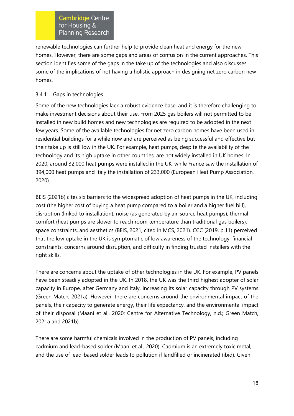renewable technologies can further help to provide clean heat and energy for the new homes. However, there are some gaps and areas of confusion in the current approaches. This section identifies some of the gaps in the take up of the technologies and also discusses some of the implications of not having a holistic approach in designing net zero carbon new homes.

#### 3.4.1. Gaps in technologies

Some of the new technologies lack a robust evidence base, and it is therefore challenging to make investment decisions about their use. From 2025 gas boilers will not permitted to be installed in new build homes and new technologies are required to be adopted in the next few years. Some of the available technologies for net zero carbon homes have been used in residential buildings for a while now and are perceived as being successful and effective but their take up is still low in the UK. For example, heat pumps, despite the availability of the technology and its high uptake in other countries, are not widely installed in UK homes. In 2020, around 32,000 heat pumps were installed in the UK, while France saw the installation of 394,000 heat pumps and Italy the installation of 233,000 (European Heat Pump Association, 2020).

BEIS (2021b) cites six barriers to the widespread adoption of heat pumps in the UK, including cost (the higher cost of buying a heat pump compared to a boiler and a higher fuel bill), disruption (linked to installation), noise (as generated by air-source heat pumps), thermal comfort (heat pumps are slower to reach room temperature than traditional gas boilers), space constraints, and aesthetics (BEIS, 2021, cited in MCS, 2021). CCC (2019, p.11) perceived that the low uptake in the UK is symptomatic of low awareness of the technology, financial constraints, concerns around disruption, and difficulty in finding trusted installers with the right skills.

There are concerns about the uptake of other technologies in the UK. For example, PV panels have been steadily adopted in the UK. In 2018, the UK was the third highest adopter of solar capacity in Europe, after Germany and Italy, increasing its solar capacity through PV systems (Green Match, 2021a). However, there are concerns around the environmental impact of the panels, their capacity to generate energy, their life expectancy, and the environmental impact of their disposal (Maani et al., 2020; Centre for Alternative Technology, n.d.; Green Match, 2021a and 2021b).

There are some harmful chemicals involved in the production of PV panels, including cadmium and lead-based solder (Maani et al., 2020). Cadmium is an extremely toxic metal, and the use of lead-based solder leads to pollution if landfilled or incinerated (ibid). Given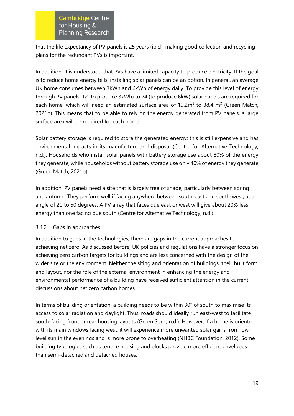that the life expectancy of PV panels is 25 years (ibid), making good collection and recycling plans for the redundant PVs is important.

In addition, it is understood that PVs have a limited capacity to produce electricity. If the goal is to reduce home energy bills, installing solar panels can be an option. In general, an average UK home consumes between 3kWh and 6kWh of energy daily. To provide this level of energy through PV panels, 12 (to produce 3kWh) to 24 (to produce 6kW) solar panels are required for each home, which will need an estimated surface area of  $19.2m^2$  to 38.4 m<sup>2</sup> (Green Match, 2021b). This means that to be able to rely on the energy generated from PV panels, a large surface area will be required for each home.

Solar battery storage is required to store the generated energy; this is still expensive and has environmental impacts in its manufacture and disposal (Centre for Alternative Technology, n.d.). Households who install solar panels with battery storage use about 80% of the energy they generate, while households without battery storage use only 40% of energy they generate (Green Match, 2021b).

In addition, PV panels need a site that is largely free of shade, particularly between spring and autumn. They perform well if facing anywhere between south-east and south-west, at an angle of 20 to 50 degrees. A PV array that faces due east or west will give about 20% less energy than one facing due south (Centre for Alternative Technology, n.d.).

## 3.4.2. Gaps in approaches

In addition to gaps in the technologies, there are gaps in the current approaches to achieving net zero. As discussed before, UK policies and regulations have a stronger focus on achieving zero carbon targets for buildings and are less concerned with the design of the wider site or the environment. Neither the siting and orientation of buildings, their built form and layout, nor the role of the external environment in enhancing the energy and environmental performance of a building have received sufficient attention in the current discussions about net zero carbon homes.

In terms of building orientation, a building needs to be within 30° of south to maximise its access to solar radiation and daylight. Thus, roads should ideally run east-west to facilitate south-facing front or rear housing layouts (Green Spec, n.d.). However, if a home is oriented with its main windows facing west, it will experience more unwanted solar gains from lowlevel sun in the evenings and is more prone to overheating (NHBC Foundation, 2012). Some building typologies such as terrace housing and blocks provide more efficient envelopes than semi-detached and detached houses.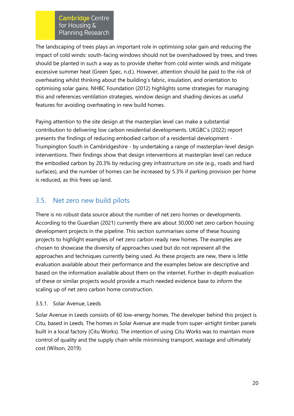The landscaping of trees plays an important role in optimising solar gain and reducing the impact of cold winds: south-facing windows should not be overshadowed by trees, and trees should be planted in such a way as to provide shelter from cold winter winds and mitigate excessive summer heat (Green Spec, n.d.). However, attention should be paid to the risk of overheating whilst thinking about the building's fabric, insulation, and orientation to optimising solar gains. NHBC Foundation (2012) highlights some strategies for managing this and references ventilation strategies, window design and shading devices as useful features for avoiding overheating in new build homes.

Paying attention to the site design at the masterplan level can make a substantial contribution to delivering low carbon residential developments. UKGBC's (2022) report presents the findings of reducing embodied carbon of a residential development - Trumpington South in Cambridgeshire - by undertaking a range of masterplan-level design interventions. Their findings show that design interventions at masterplan level can reduce the embodied carbon by 20.3% by reducing grey infrastructure on site (e.g., roads and hard surfaces), and the number of homes can be increased by 5.3% if parking provision per home is reduced, as this frees up land.

## 3.5. Net zero new build pilots

There is no robust data source about the number of net zero homes or developments. According to the Guardian (2021) currently there are about 30,000 net zero carbon housing development projects in the pipeline. This section summarises some of these housing projects to highlight examples of net zero carbon ready new homes. The examples are chosen to showcase the diversity of approaches used but do not represent all the approaches and techniques currently being used. As these projects are new, there is little evaluation available about their performance and the examples below are descriptive and based on the information available about them on the internet. Further in-depth evaluation of these or similar projects would provide a much needed evidence base to inform the scaling up of net zero carbon home construction.

## 3.5.1. Solar Avenue, Leeds

Solar Avenue in Leeds consists of 60 low-energy homes. The developer behind this project is Citu, based in Leeds. The homes in Solar Avenue are made from super-airtight timber panels built in a local factory (Citu Works). The intention of using Citu Works was to maintain more control of quality and the supply chain while minimising transport, wastage and ultimately cost (Wilson, 2019).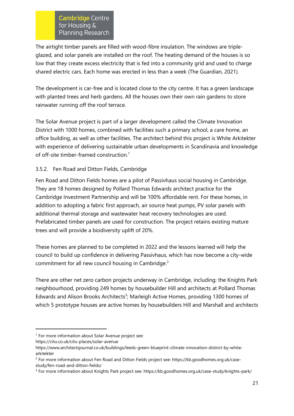The airtight timber panels are filled with wood-fibre insulation. The windows are tripleglazed, and solar panels are installed on the roof. The heating demand of the houses is so low that they create excess electricity that is fed into a community grid and used to charge shared electric cars. Each home was erected in less than a week (The Guardian, 2021).

The development is car-free and is located close to the city centre. It has a green landscape with planted trees and herb gardens. All the houses own their own rain gardens to store rainwater running off the roof terrace.

The Solar Avenue project is part of a larger development called the Climate Innovation District with 1000 homes, combined with facilities such a primary school, a care home, an office building, as well as other facilities. The architect behind this project is White Arkitekter with experience of delivering sustainable urban developments in Scandinavia and knowledge of off-site timber-framed construction.<sup>1</sup>

## 3.5.2. Fen Road and Ditton Fields, Cambridge

Fen Road and Ditton Fields homes are a pilot of Passivhaus social housing in Cambridge. They are 18 homes designed by Pollard Thomas Edwards architect practice for the Cambridge Investment Partnership and will be 100% affordable rent. For these homes, in addition to adopting a fabric first approach, air source heat pumps, PV solar panels with additional thermal storage and wastewater heat recovery technologies are used. Prefabricated timber panels are used for construction. The project retains existing mature trees and will provide a biodiversity uplift of 20%.

These homes are planned to be completed in 2022 and the lessons learned will help the council to build up confidence in delivering Passivhaus, which has now become a city-wide commitment for all new council housing in Cambridge.<sup>2</sup>

There are other net zero carbon projects underway in Cambridge, including: the Knights Park neighbourhood, providing 249 homes by housebuilder Hill and architects at Pollard Thomas Edwards and Alison Brooks Architects<sup>3</sup>; Marleigh Active Homes, providing 1300 homes of which 5 prototype houses are active homes by housebuilders Hill and Marshall and architects

<sup>&</sup>lt;sup>1</sup> For more information about Solar Avenue project see:

<https://citu.co.uk/citu-places/solar-avenue>

https://www.architectsjournal.co.uk/buildings/leeds-green-blueprint-climate-innovation-district-by-whitearkitekter

<sup>2</sup> For more information about Fen Road and Ditton Fields project see: https://kb.goodhomes.org.uk/casestudy/fen-road-and-ditton-fields/

<sup>3</sup> For more information about Knights Park project see: https://kb.goodhomes.org.uk/case-study/knights-park/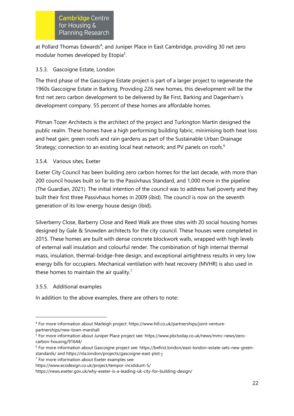at Pollard Thomas Edwards<sup>4</sup>; and Juniper Place in East Cambridge, providing 30 net zero modular homes developed by Etopia<sup>5</sup>.

#### 3.5.3. Gascoigne Estate, London

The third phase of the Gascoigne Estate project is part of a larger project to regenerate the 1960s Gascoigne Estate in Barking. Providing 226 new homes, this development will be the first net zero carbon development to be delivered by Be First, Barking and Dagenham's development company. 55 percent of these homes are affordable homes.

Pitman Tozer Architects is the architect of the project and Turkington Martin designed the public realm. These homes have a high performing building fabric, minimising both heat loss and heat gain; green roofs and rain gardens as part of the Sustainable Urban Drainage Strategy; connection to an existing local heat network; and PV panels on roofs.<sup>6</sup>

#### 3.5.4. Various sites, Exeter

Exeter City Council has been building zero carbon homes for [the last decade,](https://news.exeter.gov.uk/why-exeter-is-a-leading-uk-city-for-building-design/) with more than 200 council houses built so far to the Passivhaus Standard, and 1,000 more in the pipeline (The Guardian, 2021). The initial intention of the council was to address fuel poverty and they built their first three Passivhaus homes in 2009 (ibid). The council is now on the seventh generation of its low-energy house design (ibid).

Silverberry Close, Barberry Close and Reed Walk are three sites with 20 social housing homes designed by Gale & Snowden architects for the city council. These houses were completed in 2015. These homes are built with dense concrete blockwork walls, wrapped with high levels of external wall insulation and colourful render. The combination of high internal thermal mass, insulation, thermal-bridge-free design, and exceptional airtightness results in very low energy bills for occupiers. Mechanical ventilation with heat recovery (MVHR) is also used in these homes to maintain the air quality.<sup>7</sup>

#### 3.5.5. Additional examples

In addition to the above examples, there are others to note:

<sup>4</sup> For more information about Marleigh project: https://www.hill.co.uk/partnerships/joint-venturepartnerships/new-town-marshall

<sup>5</sup> For more information about Juniper Place project see: https://www.pbctoday.co.uk/news/mmc-news/zerocarbon-housing/91644/

<sup>6</sup> For more information about Gascoigne project see[: https://befirst.london/east-london-estate-sets-new-green](https://befirst.london/east-london-estate-sets-new-green-standards/)[standards/](https://befirst.london/east-london-estate-sets-new-green-standards/) and https://nla.london/projects/gascoigne-east-plot-j

<sup>7</sup> For more information about Exeter examples see:

<https://www.ecodesign.co.uk/project/tempor-incididunt-5/>

https://news.exeter.gov.uk/why-exeter-is-a-leading-uk-city-for-building-design/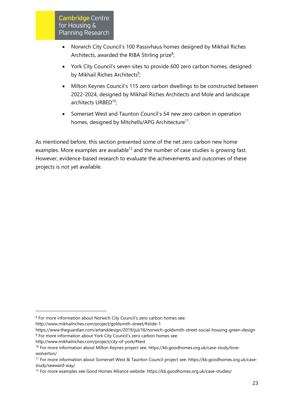- Norwich City Council's 100 Passivhaus homes designed by Mikhail Riches Architects, awarded the RIBA Stirling prize $8$ ;
- York City Council's seven sites to provide 600 zero carbon homes, designed by Mikhail Riches Architects<sup>9</sup>;
- Milton Keynes Council's 115 zero carbon dwellings to be constructed between 2022-2024, designed by Mikhail Riches Architects and Mole and landscape architects URBED<sup>10</sup>:
- Somerset West and Taunton Council's 54 new zero carbon in operation homes, designed by Mitchells/APG Architecture<sup>11</sup>.

As mentioned before, this section presented some of the net zero carbon new home examples. More examples are available<sup>12</sup> and the number of case studies is growing fast. However, evidence-based research to evaluate the achievements and outcomes of these projects is not yet available.

http://www.mikhailriches.com/project/city-of-york/#text

<sup>8</sup> For more information about Norwich City Council's zero carbon homes see:

<http://www.mikhailriches.com/project/goldsmith-street/#slide-1>

https://www.theguardian.com/artanddesign/2019/jul/16/norwich-goldsmith-street-social-housing-green-design <sup>9</sup> For more information about York City Council's zero carbon homes see:

<sup>10</sup> For more information about Milton Keynes project see: https://kb.goodhomes.org.uk/case-study/lovewolverton/

<sup>11</sup> For more information about Somerset West & Taunton Council project see: https://kb.goodhomes.org.uk/casestudy/seaward-way/

<sup>12</sup> For more examples see Good Homes Alliance website: https://kb.goodhomes.org.uk/case-studies/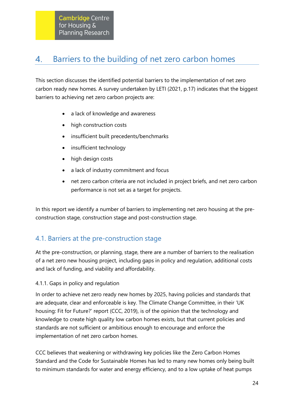#### <span id="page-24-0"></span>Barriers to the building of net zero carbon homes 4.

This section discusses the identified potential barriers to the implementation of net zero carbon ready new homes. A survey undertaken by LETI (2021, p.17) indicates that the biggest barriers to achieving net zero carbon projects are:

- a lack of knowledge and awareness
- high construction costs
- insufficient built precedents/benchmarks
- insufficient technology
- high design costs
- a lack of industry commitment and focus
- net zero carbon criteria are not included in project briefs, and net zero carbon performance is not set as a target for projects.

In this report we identify a number of barriers to implementing net zero housing at the preconstruction stage, construction stage and post-construction stage.

## 4.1. Barriers at the pre-construction stage

At the pre-construction, or planning, stage, there are a number of barriers to the realisation of a net zero new housing project, including gaps in policy and regulation, additional costs and lack of funding, and viability and affordability.

4.1.1. Gaps in policy and regulation

In order to achieve net zero ready new homes by 2025, having policies and standards that are adequate, clear and enforceable is key. The Climate Change Committee, in their 'UK housing: Fit for Future?' report (CCC, 2019), is of the opinion that the technology and knowledge to create high quality low carbon homes exists, but that current policies and standards are not sufficient or ambitious enough to encourage and enforce the implementation of net zero carbon homes.

CCC believes that weakening or withdrawing key policies like the Zero Carbon Homes Standard and the Code for Sustainable Homes has led to many new homes only being built to minimum standards for water and energy efficiency, and to a low uptake of heat pumps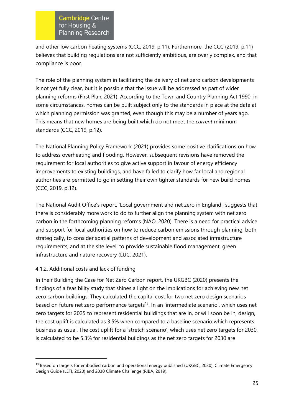and other low carbon heating systems (CCC, 2019, p.11). Furthermore, the CCC (2019, p.11) believes that building regulations are not sufficiently ambitious, are overly complex, and that compliance is poor.

The role of the planning system in facilitating the delivery of net zero carbon developments is not yet fully clear, but it is possible that the issue will be addressed as part of wider planning reforms (First Plan, 2021). According to the Town and Country Planning Act 1990, in some circumstances, homes can be built subject only to the standards in place at the date at which planning permission was granted, even though this may be a number of years ago. This means that new homes are being built which do not meet the *current* minimum standards (CCC, 2019, p.12).

The National Planning Policy Framework (2021) provides some positive clarifications on how to address overheating and flooding. However, subsequent revisions have removed the requirement for local authorities to give active support in favour of energy efficiency improvements to existing buildings, and have failed to clarify how far local and regional authorities are permitted to go in setting their own tighter standards for new build homes (CCC, 2019, p.12).

The National Audit Office's report, 'Local government and net zero in England', suggests that there is considerably more work to do to further align the planning system with net zero carbon in the forthcoming planning reforms (NAO, 2020). There is a need for practical advice and support for local authorities on how to reduce carbon emissions through planning, both strategically, to consider spatial patterns of development and associated infrastructure requirements, and at the site level, to provide sustainable flood management, green infrastructure and nature recovery (LUC, 2021).

## 4.1.2. Additional costs and lack of funding

In their Building the Case for Net Zero Carbon report, the UKGBC (2020) presents the findings of a feasibility study that shines a light on the implications for achieving new net zero carbon buildings. They calculated the capital cost for two net zero design scenarios based on future net zero performance targets<sup>13</sup>. In an 'intermediate scenario', which uses net zero targets for 2025 to represent residential buildings that are in, or will soon be in, design, the cost uplift is calculated as 3.5% when compared to a baseline scenario which represents business as usual. The cost uplift for a 'stretch scenario', which uses net zero targets for 2030, is calculated to be 5.3% for residential buildings as the net zero targets for 2030 are

<sup>&</sup>lt;sup>13</sup> Based on targets for embodied carbon and operational energy published (UKGBC, 2020), Climate Emergency Design Guide (LETI, 2020) and 2030 Climate Challenge (RIBA, 2019).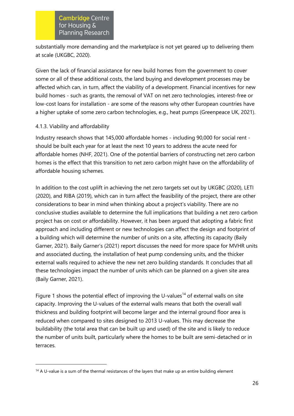substantially more demanding and the marketplace is not yet geared up to delivering them at scale (UKGBC, 2020).

Given the lack of financial assistance for new build homes from the government to cover some or all of these additional costs, the land buying and development processes may be affected which can, in turn, affect the viability of a development. Financial incentives for new build homes - such as grants, the removal of VAT on net zero technologies, interest-free or low-cost loans for installation - are some of the reasons why other European countries have a higher uptake of some zero carbon technologies, e.g., heat pumps (Greenpeace UK, 2021).

#### 4.1.3. Viability and affordability

Industry research shows that 145,000 affordable homes - including 90,000 for social rent should be built each year for at least the next 10 years to address the acute need for affordable homes (NHF, 2021). One of the potential barriers of constructing net zero carbon homes is the effect that this transition to net zero carbon might have on the affordability of affordable housing schemes.

In addition to the cost uplift in achieving the net zero targets set out by UKGBC (2020), LETI (2020), and RIBA (2019), which can in turn affect the feasibility of the project, there are other considerations to bear in mind when thinking about a project's viability. There are no conclusive studies available to determine the full implications that building a net zero carbon project has on cost or affordability. However, it has been argued that adopting a fabric first approach and including different or new technologies can affect the design and footprint of a building which will determine the number of units on a site, affecting its capacity (Baily Garner, 2021). Baily Garner's (2021) report discusses the need for more space for MVHR units and associated ducting, the installation of heat pump condensing units, and the thicker external walls required to achieve the new net zero building standards. It concludes that all these technologies impact the number of units which can be planned on a given site area (Baily Garner, 2021).

Figure 1 shows the potential effect of improving the U-values<sup>14</sup> of external walls on site capacity. Improving the U-values of the external walls means that both the overall wall thickness and building footprint will become larger and the internal ground floor area is reduced when compared to sites designed to 2013 U-values. This may decrease the buildability (the total area that can be built up and used) of the site and is likely to reduce the number of units built, particularly where the homes to be built are semi-detached or in terraces.

 $14$  A U-value is a sum of the thermal resistances of the layers that make up an entire building element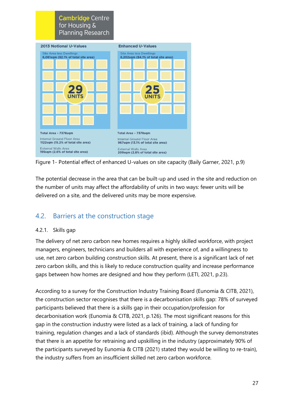



The potential decrease in the area that can be built-up and used in the site and reduction on the number of units may affect the affordability of units in two ways: fewer units will be delivered on a site, and the delivered units may be more expensive.

## 4.2. Barriers at the construction stage

#### 4.2.1. Skills gap

The delivery of net zero carbon new homes requires a highly skilled workforce, with project managers, engineers, technicians and builders all with experience of, and a willingness to use, net zero carbon building construction skills. At present, there is a significant lack of net zero carbon skills, and this is likely to reduce construction quality and increase performance gaps between how homes are designed and how they perform (LETI, 2021, p.23).

According to a survey for the Construction Industry Training Board (Eunomia & CITB, 2021), the construction sector recognises that there is a decarbonisation skills gap: 78% of surveyed participants believed that there is a skills gap in their occupation/profession for decarbonisation work (Eunomia & CITB, 2021, p.126). The most significant reasons for this gap in the construction industry were listed as a lack of training, a lack of funding for training, regulation changes and a lack of standards (ibid). Although the survey demonstrates that there is an appetite for retraining and upskilling in the industry (approximately 90% of the participants surveyed by Eunomia & CITB (2021) stated they would be willing to re-train), the industry suffers from an insufficient skilled net zero carbon workforce.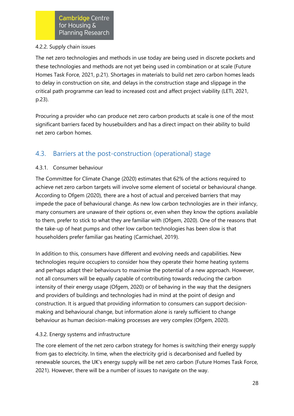#### 4.2.2. Supply chain issues

The net zero technologies and methods in use today are being used in discrete pockets and these technologies and methods are not yet being used in combination or at scale (Future Homes Task Force, 2021, p.21). Shortages in materials to build net zero carbon homes leads to delay in construction on site, and delays in the construction stage and slippage in the critical path programme can lead to increased cost and affect project viability (LETI, 2021, p.23).

Procuring a provider who can produce net zero carbon products at scale is one of the most significant barriers faced by housebuilders and has a direct impact on their ability to build net zero carbon homes.

## 4.3. Barriers at the post-construction (operational) stage

#### 4.3.1. Consumer behaviour

The Committee for Climate Change (2020) estimates that 62% of the actions required to achieve net zero carbon targets will involve some element of societal or behavioural change. According to Ofgem (2020), there are a host of actual and perceived barriers that may impede the pace of behavioural change. As new low carbon technologies are in their infancy, many consumers are unaware of their options or, even when they know the options available to them, prefer to stick to what they are familiar with (Ofgem, 2020). One of the reasons that the take-up of heat pumps and other low carbon technologies has been slow is that householders prefer familiar gas heating (Carmichael, 2019).

In addition to this, consumers have different and evolving needs and capabilities. New technologies require occupiers to consider how they operate their home heating systems and perhaps adapt their behaviours to maximise the potential of a new approach. However, not all consumers will be equally capable of contributing towards reducing the carbon intensity of their energy usage (Ofgem, 2020) or of behaving in the way that the designers and providers of buildings and technologies had in mind at the point of design and construction. It is argued that providing information to consumers can support decisionmaking and behavioural change, but information alone is rarely sufficient to change behaviour as human decision-making processes are very complex (Ofgem, 2020).

## 4.3.2. Energy systems and infrastructure

The core element of the net zero carbon strategy for homes is switching their energy supply from gas to electricity. In time, when the electricity grid is decarbonised and fuelled by renewable sources, the UK's energy supply will be net zero carbon (Future Homes Task Force, 2021). However, there will be a number of issues to navigate on the way.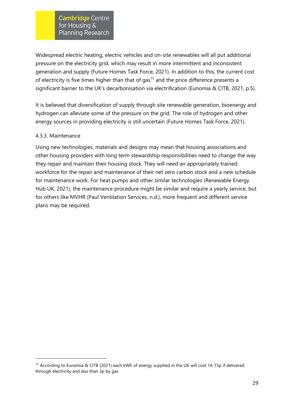Widespread electric heating, electric vehicles and on-site renewables will all put additional pressure on the electricity grid, which may result in more intermittent and inconsistent generation and supply (Future Homes Task Force, 2021). In addition to this, the current cost of electricity is five times higher than that of gas<sup>15</sup> and the price difference presents a significant barrier to the UK's decarbonisation via electrification (Eunomia & CITB, 2021, p.5).

It is believed that diversification of supply through site renewable generation, bioenergy and hydrogen can alleviate some of the pressure on the grid. The role of hydrogen and other energy sources in providing electricity is still uncertain (Future Homes Task Force, 2021).

#### 4.3.3. Maintenance

Using new technologies, materials and designs may mean that housing associations and other housing providers with long term stewardship responsibilities need to change the way they repair and maintain their housing stock. They will need an appropriately trained workforce for the repair and maintenance of their net zero carbon stock and a new schedule for maintenance work. For heat pumps and other similar technologies (Renewable Energy Hub UK, 2021), the maintenance procedure might be similar and require a yearly service, but for others like MVHR (Paul Ventilation Services, n.d.), more frequent and different service plans may be required.

<sup>15</sup> According to Eunomia & CITB (2021) each kWh of energy supplied in the UK will cost 14-15p if delivered through electricity and less than 3p by gas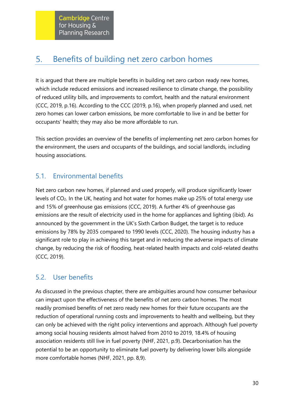#### <span id="page-30-0"></span>Benefits of building net zero carbon homes 5.

It is argued that there are multiple benefits in building net zero carbon ready new homes, which include reduced emissions and increased resilience to climate change, the possibility of reduced utility bills, and improvements to comfort, health and the natural environment (CCC, 2019, p.16). According to the CCC (2019, p.16), when properly planned and used, net zero homes can lower carbon emissions, be more comfortable to live in and be better for occupants' health; they may also be more affordable to run.

This section provides an overview of the benefits of implementing net zero carbon homes for the environment, the users and occupants of the buildings, and social landlords, including housing associations.

## 5.1. Environmental benefits

Net zero carbon new homes, if planned and used properly, will produce significantly lower levels of  $CO<sub>2</sub>$ . In the UK, heating and hot water for homes make up 25% of total energy use and 15% of greenhouse gas emissions (CCC, 2019). A further 4% of greenhouse gas emissions are the result of electricity used in the home for appliances and lighting (ibid). As announced by the government in the UK's Sixth Carbon Budget, the target is to reduce emissions by 78% by 2035 compared to 1990 levels (CCC, 2020). The housing industry has a significant role to play in achieving this target and in reducing the adverse impacts of climate change, by reducing the risk of flooding, heat-related health impacts and cold-related deaths (CCC, 2019).

## 5.2. User benefits

As discussed in the previous chapter, there are ambiguities around how consumer behaviour can impact upon the effectiveness of the benefits of net zero carbon homes. The most readily promised benefits of net zero ready new homes for their future occupants are the reduction of operational running costs and improvements to health and wellbeing, but they can only be achieved with the right policy interventions and approach. Although fuel poverty among social housing residents almost halved from 2010 to 2019, 18.4% of housing association residents still live in fuel poverty (NHF, 2021, p.9). Decarbonisation has the potential to be an opportunity to eliminate fuel poverty by delivering lower bills alongside more comfortable homes (NHF, 2021, pp. 8,9).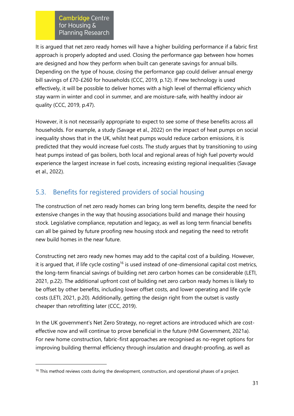It is argued that net zero ready homes will have a higher building performance if a fabric first approach is properly adopted and used. Closing the performance gap between how homes are designed and how they perform when built can generate savings for annual bills. Depending on the type of house, closing the performance gap could deliver annual energy bill savings of £70-£260 for households (CCC, 2019, p.12). If new technology is used effectively, it will be possible to deliver homes with a high level of thermal efficiency which stay warm in winter and cool in summer, and are moisture-safe, with healthy indoor air quality (CCC, 2019, p.47).

However, it is not necessarily appropriate to expect to see some of these benefits across all households. For example, a study (Savage et al., 2022) on the impact of heat pumps on social inequality shows that in the UK, whilst heat pumps would reduce carbon emissions, it is predicted that they would increase fuel costs. The study argues that by transitioning to using heat pumps instead of gas boilers, both local and regional areas of high fuel poverty would experience the largest increase in fuel costs, increasing existing regional inequalities (Savage et al., 2022).

# 5.3. Benefits for registered providers of social housing

The construction of net zero ready homes can bring long term benefits, despite the need for extensive changes in the way that housing associations build and manage their housing stock. Legislative compliance, reputation and legacy, as well as long term financial benefits can all be gained by future proofing new housing stock and negating the need to retrofit new build homes in the near future.

Constructing net zero ready new homes may add to the capital cost of a building. However, it is arqued that, if life cycle costing<sup>16</sup> is used instead of one-dimensional capital cost metrics, the long-term financial savings of building net zero carbon homes can be considerable (LETI, 2021, p.22). The additional upfront cost of building net zero carbon ready homes is likely to be offset by other benefits, including lower offset costs, and lower operating and life cycle costs (LETI, 2021, p.20). Additionally, getting the design right from the outset is vastly cheaper than retrofitting later (CCC, 2019).

In the UK government's Net Zero Strategy, no-regret actions are introduced which are costeffective now and will continue to prove beneficial in the future (HM Government, 2021a). For new home construction, fabric-first approaches are recognised as no-regret options for improving building thermal efficiency through insulation and draught-proofing, as well as

 $16$  This method reviews costs during the development, construction, and operational phases of a project.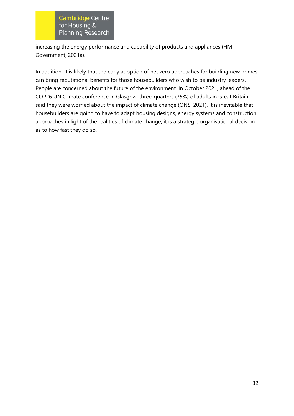increasing the energy performance and capability of products and appliances (HM Government, 2021a).

In addition, it is likely that the early adoption of net zero approaches for building new homes can bring reputational benefits for those housebuilders who wish to be industry leaders. People are concerned about the future of the environment. In October 2021, ahead of the COP26 UN Climate conference in Glasgow, three-quarters (75%) of adults in Great Britain said they were worried about the impact of climate change (ONS, 2021). It is inevitable that housebuilders are going to have to adapt housing designs, energy systems and construction approaches in light of the realities of climate change, it is a strategic organisational decision as to how fast they do so.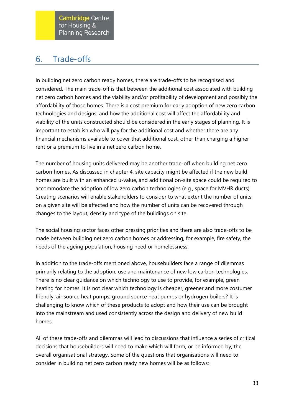#### <span id="page-33-0"></span>Trade-offs 6.

In building net zero carbon ready homes, there are trade-offs to be recognised and considered. The main trade-off is that between the additional cost associated with building net zero carbon homes and the viability and/or profitability of development and possibly the affordability of those homes. There is a cost premium for early adoption of new zero carbon technologies and designs, and how the additional cost will affect the affordability and viability of the units constructed should be considered in the early stages of planning. It is important to establish who will pay for the additional cost and whether there are any financial mechanisms available to cover that additional cost, other than charging a higher rent or a premium to live in a net zero carbon home.

The number of housing units delivered may be another trade-off when building net zero carbon homes. As discussed in chapter 4, site capacity might be affected if the new build homes are built with an enhanced u-value, and additional on-site space could be required to accommodate the adoption of low zero carbon technologies (e.g., space for MVHR ducts). Creating scenarios will enable stakeholders to consider to what extent the number of units on a given site will be affected and how the number of units can be recovered through changes to the layout, density and type of the buildings on site.

The social housing sector faces other pressing priorities and there are also trade-offs to be made between building net zero carbon homes or addressing, for example, fire safety, the needs of the ageing population, housing need or homelessness.

In addition to the trade-offs mentioned above, housebuilders face a range of dilemmas primarily relating to the adoption, use and maintenance of new low carbon technologies. There is no clear guidance on which technology to use to provide, for example, green heating for homes. It is not clear which technology is cheaper, greener and more costumer friendly: air source heat pumps, ground source heat pumps or hydrogen boilers? It is challenging to know which of these products to adopt and how their use can be brought into the mainstream and used consistently across the design and delivery of new build homes.

All of these trade-offs and dilemmas will lead to discussions that influence a series of critical decisions that housebuilders will need to make which will form, or be informed by, the overall organisational strategy. Some of the questions that organisations will need to consider in building net zero carbon ready new homes will be as follows: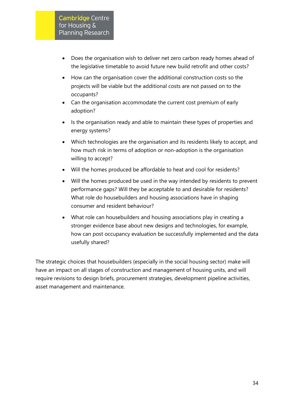- Does the organisation wish to deliver net zero carbon ready homes ahead of the legislative timetable to avoid future new build retrofit and other costs?
- How can the organisation cover the additional construction costs so the projects will be viable but the additional costs are not passed on to the occupants?
- Can the organisation accommodate the current cost premium of early adoption?
- Is the organisation ready and able to maintain these types of properties and energy systems?
- Which technologies are the organisation and its residents likely to accept, and how much risk in terms of adoption or non-adoption is the organisation willing to accept?
- Will the homes produced be affordable to heat and cool for residents?
- Will the homes produced be used in the way intended by residents to prevent performance gaps? Will they be acceptable to and desirable for residents? What role do housebuilders and housing associations have in shaping consumer and resident behaviour?
- What role can housebuilders and housing associations play in creating a stronger evidence base about new designs and technologies, for example, how can post occupancy evaluation be successfully implemented and the data usefully shared?

The strategic choices that housebuilders (especially in the social housing sector) make will have an impact on all stages of construction and management of housing units, and will require revisions to design briefs, procurement strategies, development pipeline activities, asset management and maintenance.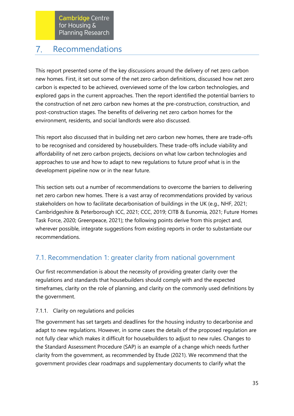#### <span id="page-35-0"></span>Recommendations  $7<sub>1</sub>$

This report presented some of the key discussions around the delivery of net zero carbon new homes. First, it set out some of the net zero carbon definitions, discussed how net zero carbon is expected to be achieved, overviewed some of the low carbon technologies, and explored gaps in the current approaches. Then the report identified the potential barriers to the construction of net zero carbon new homes at the pre-construction, construction, and post-construction stages. The benefits of delivering net zero carbon homes for the environment, residents, and social landlords were also discussed.

This report also discussed that in building net zero carbon new homes, there are trade-offs to be recognised and considered by housebuilders. These trade-offs include viability and affordability of net zero carbon projects, decisions on what low carbon technologies and approaches to use and how to adapt to new regulations to future proof what is in the development pipeline now or in the near future.

This section sets out a number of recommendations to overcome the barriers to delivering net zero carbon new homes. There is a vast array of recommendations provided by various stakeholders on how to facilitate decarbonisation of buildings in the UK (e.g., NHF, 2021; Cambridgeshire & Peterborough ICC, 2021; CCC, 2019; CITB & Eunomia, 2021; Future Homes Task Force, 2020; Greenpeace, 2021); the following points derive from this project and, wherever possible, integrate suggestions from existing reports in order to substantiate our recommendations.

# 7.1. Recommendation 1: greater clarity from national government

Our first recommendation is about the necessity of providing greater clarity over the regulations and standards that housebuilders should comply with and the expected timeframes, clarity on the role of planning, and clarity on the commonly used definitions by the government.

## 7.1.1. Clarity on regulations and policies

The government has set targets and deadlines for the housing industry to decarbonise and adapt to new regulations. However, in some cases the details of the proposed regulation are not fully clear which makes it difficult for housebuilders to adjust to new rules. Changes to the Standard Assessment Procedure (SAP) is an example of a change which needs further clarity from the government, as recommended by Etude (2021). We recommend that the government provides clear roadmaps and supplementary documents to clarify what the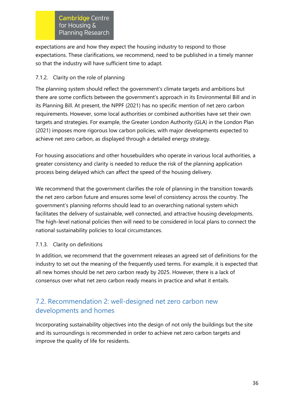expectations are and how they expect the housing industry to respond to those expectations. These clarifications, we recommend, need to be published in a timely manner so that the industry will have sufficient time to adapt.

## 7.1.2. Clarity on the role of planning

The planning system should reflect the government's climate targets and ambitions but there are some conflicts between the government's approach in its Environmental Bill and in its Planning Bill. At present, the NPPF (2021) has no specific mention of net zero carbon requirements. However, some local authorities or combined authorities have set their own targets and strategies. For example, the Greater London Authority (GLA) in the London Plan (2021) imposes more rigorous low carbon policies, with major developments expected to achieve net zero carbon, as displayed through a detailed energy strategy.

For housing associations and other housebuilders who operate in various local authorities, a greater consistency and clarity is needed to reduce the risk of the planning application process being delayed which can affect the speed of the housing delivery.

We recommend that the government clarifies the role of planning in the transition towards the net zero carbon future and ensures some level of consistency across the country. The government's planning reforms should lead to an overarching national system which facilitates the delivery of sustainable, well connected, and attractive housing developments. The high-level national policies then will need to be considered in local plans to connect the national sustainability policies to local circumstances.

## 7.1.3. Clarity on definitions

In addition, we recommend that the government releases an agreed set of definitions for the industry to set out the meaning of the frequently used terms. For example, it is expected that all new homes should be net zero carbon ready by 2025. However, there is a lack of consensus over what net zero carbon ready means in practice and what it entails.

# 7.2. Recommendation 2: well-designed net zero carbon new developments and homes

Incorporating sustainability objectives into the design of not only the buildings but the site and its surroundings is recommended in order to achieve net zero carbon targets and improve the quality of life for residents.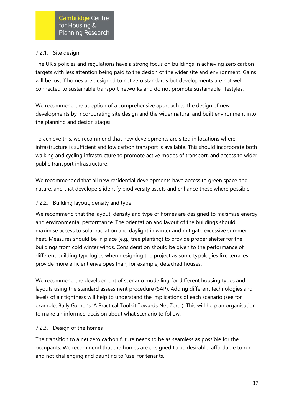## 7.2.1. Site design

The UK's policies and regulations have a strong focus on buildings in achieving zero carbon targets with less attention being paid to the design of the wider site and environment. Gains will be lost if homes are designed to net zero standards but developments are not well connected to sustainable transport networks and do not promote sustainable lifestyles.

We recommend the adoption of a comprehensive approach to the design of new developments by incorporating site design and the wider natural and built environment into the planning and design stages.

To achieve this, we recommend that new developments are sited in locations where infrastructure is sufficient and low carbon transport is available. This should incorporate both walking and cycling infrastructure to promote active modes of transport, and access to wider public transport infrastructure.

We recommended that all new residential developments have access to green space and nature, and that developers identify biodiversity assets and enhance these where possible.

## 7.2.2. Building layout, density and type

We recommend that the layout, density and type of homes are designed to maximise energy and environmental performance. The orientation and layout of the buildings should maximise access to solar radiation and daylight in winter and mitigate excessive summer heat. Measures should be in place (e.g., tree planting) to provide proper shelter for the buildings from cold winter winds. Consideration should be given to the performance of different building typologies when designing the project as some typologies like terraces provide more efficient envelopes than, for example, detached houses.

We recommend the development of scenario modelling for different housing types and layouts using the standard assessment procedure (SAP). Adding different technologies and levels of air tightness will help to understand the implications of each scenario (see for example: Baily Garner's 'A Practical Toolkit Towards Net Zero'). This will help an organisation to make an informed decision about what scenario to follow.

#### 7.2.3. Design of the homes

The transition to a net zero carbon future needs to be as seamless as possible for the occupants. We recommend that the homes are designed to be desirable, affordable to run, and not challenging and daunting to 'use' for tenants.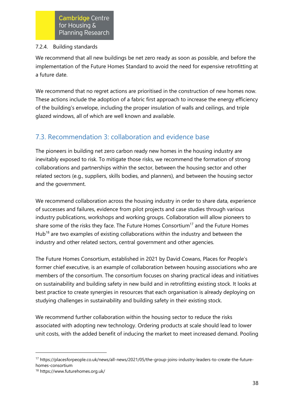#### 7.2.4. Building standards

We recommend that all new buildings be net zero ready as soon as possible, and before the implementation of the Future Homes Standard to avoid the need for expensive retrofitting at a future date.

We recommend that no regret actions are prioritised in the construction of new homes now. These actions include the adoption of a fabric first approach to increase the energy efficiency of the building's envelope, including the proper insulation of walls and ceilings, and triple glazed windows, all of which are well known and available.

# 7.3. Recommendation 3: collaboration and evidence base

The pioneers in building net zero carbon ready new homes in the housing industry are inevitably exposed to risk. To mitigate those risks, we recommend the formation of strong collaborations and partnerships within the sector, between the housing sector and other related sectors (e.g., suppliers, skills bodies, and planners), and between the housing sector and the government.

We recommend collaboration across the housing industry in order to share data, experience of successes and failures, evidence from pilot projects and case studies through various industry publications, workshops and working groups. Collaboration will allow pioneers to share some of the risks they face. The Future Homes Consortium<sup>17</sup> and the Future Homes Hub<sup>18</sup> are two examples of existing collaborations within the industry and between the industry and other related sectors, central government and other agencies.

The Future Homes Consortium, established in 2021 by David Cowans, Places for People's former chief executive, is an example of collaboration between housing associations who are members of the consortium. The consortium focuses on sharing practical ideas and initiatives on sustainability and building safety in new build and in retrofitting existing stock. It looks at best practice to create synergies in resources that each organisation is already deploying on studying challenges in sustainability and building safety in their existing stock.

We recommend further collaboration within the housing sector to reduce the risks associated with adopting new technology. Ordering products at scale should lead to lower unit costs, with the added benefit of inducing the market to meet increased demand. Pooling

<sup>17</sup> https://placesforpeople.co.uk/news/all-news/2021/05/the-group-joins-industry-leaders-to-create-the-futurehomes-consortium

<sup>18</sup> https://www.futurehomes.org.uk/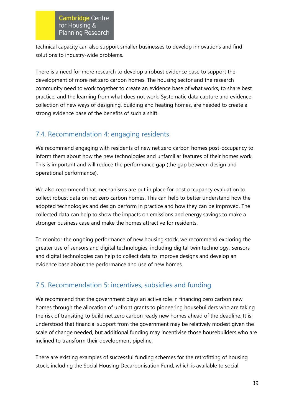technical capacity can also support smaller businesses to develop innovations and find solutions to industry-wide problems.

There is a need for more research to develop a robust evidence base to support the development of more net zero carbon homes. The housing sector and the research community need to work together to create an evidence base of what works, to share best practice, and the learning from what does not work. Systematic data capture and evidence collection of new ways of designing, building and heating homes, are needed to create a strong evidence base of the benefits of such a shift.

# 7.4. Recommendation 4: engaging residents

We recommend engaging with residents of new net zero carbon homes post-occupancy to inform them about how the new technologies and unfamiliar features of their homes work. This is important and will reduce the performance gap (the gap between design and operational performance).

We also recommend that mechanisms are put in place for post occupancy evaluation to collect robust data on net zero carbon homes. This can help to better understand how the adopted technologies and design perform in practice and how they can be improved. The collected data can help to show the impacts on emissions and energy savings to make a stronger business case and make the homes attractive for residents.

To monitor the ongoing performance of new housing stock, we recommend exploring the greater use of sensors and digital technologies, including digital twin technology. Sensors and digital technologies can help to collect data to improve designs and develop an evidence base about the performance and use of new homes.

# 7.5. Recommendation 5: incentives, subsidies and funding

We recommend that the government plays an active role in financing zero carbon new homes through the allocation of upfront grants to pioneering housebuilders who are taking the risk of transiting to build net zero carbon ready new homes ahead of the deadline. It is understood that financial support from the government may be relatively modest given the scale of change needed, but additional funding may incentivise those housebuilders who are inclined to transform their development pipeline.

There are existing examples of successful funding schemes for the retrofitting of housing stock, including the Social Housing Decarbonisation Fund, which is available to social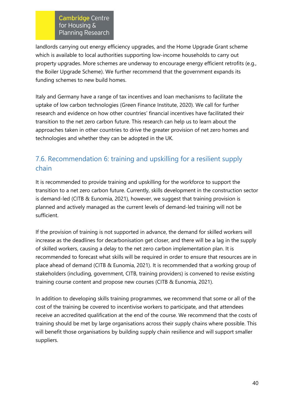landlords carrying out energy efficiency upgrades, and the Home Upgrade Grant scheme which is available to local authorities supporting low-income households to carry out property upgrades. More schemes are underway to encourage energy efficient retrofits (e.g., the Boiler Upgrade Scheme). We further recommend that the government expands its funding schemes to new build homes.

Italy and Germany have a range of tax incentives and loan mechanisms to facilitate the uptake of low carbon technologies (Green Finance Institute, 2020). We call for further research and evidence on how other countries' financial incentives have facilitated their transition to the net zero carbon future. This research can help us to learn about the approaches taken in other countries to drive the greater provision of net zero homes and technologies and whether they can be adopted in the UK.

# 7.6. Recommendation 6: training and upskilling for a resilient supply chain

It is recommended to provide training and upskilling for the workforce to support the transition to a net zero carbon future. Currently, skills development in the construction sector is demand-led (CITB & Eunomia, 2021), however, we suggest that training provision is planned and actively managed as the current levels of demand-led training will not be sufficient.

If the provision of training is not supported in advance, the demand for skilled workers will increase as the deadlines for decarbonisation get closer, and there will be a lag in the supply of skilled workers, causing a delay to the net zero carbon implementation plan. It is recommended to forecast what skills will be required in order to ensure that resources are in place ahead of demand (CITB & Eunomia, 2021). It is recommended that a working group of stakeholders (including, government, CITB, training providers) is convened to revise existing training course content and propose new courses (CITB & Eunomia, 2021).

In addition to developing skills training programmes, we recommend that some or all of the cost of the training be covered to incentivise workers to participate, and that attendees receive an accredited qualification at the end of the course. We recommend that the costs of training should be met by large organisations across their supply chains where possible. This will benefit those organisations by building supply chain resilience and will support smaller suppliers.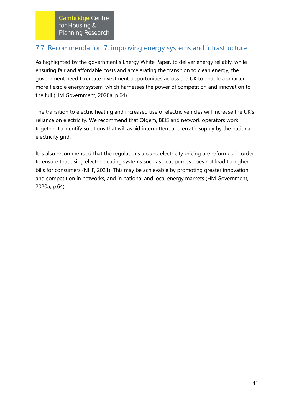## 7.7. Recommendation 7: improving energy systems and infrastructure

As highlighted by the government's Energy White Paper, to deliver energy reliably, while ensuring fair and affordable costs and accelerating the transition to clean energy, the government need to create investment opportunities across the UK to enable a smarter, more flexible energy system, which harnesses the power of competition and innovation to the full (HM Government, 2020a, p.64).

The transition to electric heating and increased use of electric vehicles will increase the UK's reliance on electricity. We recommend that Ofgem, BEIS and network operators work together to identify solutions that will avoid intermittent and erratic supply by the national electricity grid.

It is also recommended that the regulations around electricity pricing are reformed in order to ensure that using electric heating systems such as heat pumps does not lead to higher bills for consumers (NHF, 2021). This may be achievable by promoting greater innovation and competition in networks, and in national and local energy markets (HM Government, 2020a, p.64).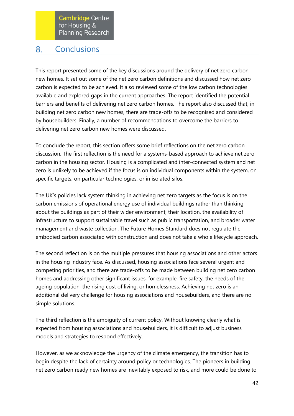#### <span id="page-42-0"></span>**Conclusions** 8.

This report presented some of the key discussions around the delivery of net zero carbon new homes. It set out some of the net zero carbon definitions and discussed how net zero carbon is expected to be achieved. It also reviewed some of the low carbon technologies available and explored gaps in the current approaches. The report identified the potential barriers and benefits of delivering net zero carbon homes. The report also discussed that, in building net zero carbon new homes, there are trade-offs to be recognised and considered by housebuilders. Finally, a number of recommendations to overcome the barriers to delivering net zero carbon new homes were discussed.

To conclude the report, this section offers some brief reflections on the net zero carbon discussion. The first reflection is the need for a systems-based approach to achieve net zero carbon in the housing sector. Housing is a complicated and inter-connected system and net zero is unlikely to be achieved if the focus is on individual components within the system, on specific targets, on particular technologies, or in isolated silos.

The UK's policies lack system thinking in achieving net zero targets as the focus is on the carbon emissions of operational energy use of individual buildings rather than thinking about the buildings as part of their wider environment, their location, the availability of infrastructure to support sustainable travel such as public transportation, and broader water management and waste collection. The Future Homes Standard does not regulate the embodied carbon associated with construction and does not take a whole lifecycle approach.

The second reflection is on the multiple pressures that housing associations and other actors in the housing industry face. As discussed, housing associations face several urgent and competing priorities, and there are trade-offs to be made between building net zero carbon homes and addressing other significant issues, for example, fire safety, the needs of the ageing population, the rising cost of living, or homelessness. Achieving net zero is an additional delivery challenge for housing associations and housebuilders, and there are no simple solutions.

The third reflection is the ambiguity of current policy. Without knowing clearly what is expected from housing associations and housebuilders, it is difficult to adjust business models and strategies to respond effectively.

However, as we acknowledge the urgency of the climate emergency, the transition has to begin despite the lack of certainty around policy or technologies. The pioneers in building net zero carbon ready new homes are inevitably exposed to risk, and more could be done to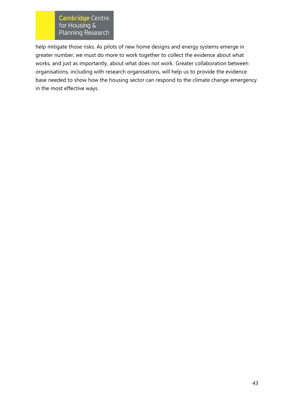help mitigate those risks. As pilots of new home designs and energy systems emerge in greater number, we must do more to work together to collect the evidence about what works, and just as importantly, about what does not work. Greater collaboration between organisations, including with research organisations, will help us to provide the evidence base needed to show how the housing sector can respond to the climate change emergency in the most effective ways.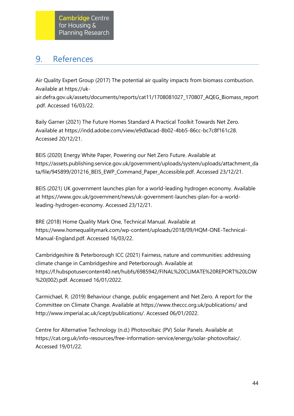#### <span id="page-44-0"></span>References 9.

Air Quality Expert Group (2017) The potential air quality impacts from biomass combustion. Available at [https://uk-](https://uk-air.defra.gov.uk/assets/documents/reports/cat11/1708081027_170807_AQEG_Biomass_report.pdf)

[air.defra.gov.uk/assets/documents/reports/cat11/1708081027\\_170807\\_AQEG\\_Biomass\\_report](https://uk-air.defra.gov.uk/assets/documents/reports/cat11/1708081027_170807_AQEG_Biomass_report.pdf) [.pdf.](https://uk-air.defra.gov.uk/assets/documents/reports/cat11/1708081027_170807_AQEG_Biomass_report.pdf) Accessed 16/03/22.

Baily Garner (2021) The Future Homes Standard A Practical Toolkit Towards Net Zero. Available at [https://indd.adobe.com/view/e9d0acad-8b02-4bb5-86cc-bc7c8f161c28.](https://indd.adobe.com/view/e9d0acad-8b02-4bb5-86cc-bc7c8f161c28) Accessed 20/12/21.

BEIS (2020) Energy White Paper, Powering our Net Zero Future. Available at [https://assets.publishing.service.gov.uk/government/uploads/system/uploads/attachment\\_da](https://assets.publishing.service.gov.uk/government/uploads/system/uploads/attachment_data/file/945899/201216_BEIS_EWP_Command_Paper_Accessible.pdf) [ta/file/945899/201216\\_BEIS\\_EWP\\_Command\\_Paper\\_Accessible.pdf.](https://assets.publishing.service.gov.uk/government/uploads/system/uploads/attachment_data/file/945899/201216_BEIS_EWP_Command_Paper_Accessible.pdf) Accessed 23/12/21.

BEIS (2021) UK government launches plan for a world-leading hydrogen economy. Available at [https://www.gov.uk/government/news/uk-government-launches-plan-for-a-world](https://www.gov.uk/government/news/uk-government-launches-plan-for-a-world-leading-hydrogen-economy)[leading-hydrogen-economy.](https://www.gov.uk/government/news/uk-government-launches-plan-for-a-world-leading-hydrogen-economy) Accessed 23/12/21.

BRE (2018) Home Quality Mark One, Technical Manual. Available at [https://www.homequalitymark.com/wp-content/uploads/2018/09/HQM-ONE-Technical-](https://www.homequalitymark.com/wp-content/uploads/2018/09/HQM-ONE-Technical-Manual-England.pdf)[Manual-England.pdf.](https://www.homequalitymark.com/wp-content/uploads/2018/09/HQM-ONE-Technical-Manual-England.pdf) Accessed 16/03/22.

Cambridgeshire & Peterborough ICC (2021) Fairness, nature and communities: addressing climate change in Cambridgeshire and Peterborough. Available at [https://f.hubspotusercontent40.net/hubfs/6985942/FINAL%20CLIMATE%20REPORT%20LOW](https://f.hubspotusercontent40.net/hubfs/6985942/FINAL%20CLIMATE%20REPORT%20LOW%20(002).pdf) [%20\(002\).pdf.](https://f.hubspotusercontent40.net/hubfs/6985942/FINAL%20CLIMATE%20REPORT%20LOW%20(002).pdf) Accessed 16/01/2022.

Carmichael, R. (2019) Behaviour change, public engagement and Net Zero. A report for the Committee on Climate Change. Available at https://www.theccc.org.uk/publications/ and [http://www.imperial.ac.uk/icept/publications/.](http://www.imperial.ac.uk/icept/publications/) Accessed 06/01/2022.

Centre for Alternative Technology (n.d.) Photovoltaic (PV) Solar Panels. Available at [https://cat.org.uk/info-resources/free-information-service/energy/solar-photovoltaic/.](https://cat.org.uk/info-resources/free-information-service/energy/solar-photovoltaic/)  Accessed 19/01/22.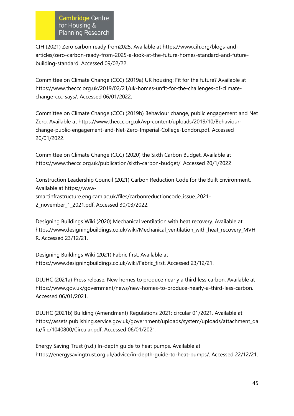CIH (2021) Zero carbon ready from2025. Available at [https://www.cih.org/blogs-and](https://www.cih.org/blogs-and-articles/zero-carbon-ready-from-2025-a-look-at-the-future-homes-standard-and-future-building-standard)[articles/zero-carbon-ready-from-2025-a-look-at-the-future-homes-standard-and-future](https://www.cih.org/blogs-and-articles/zero-carbon-ready-from-2025-a-look-at-the-future-homes-standard-and-future-building-standard)[building-standard.](https://www.cih.org/blogs-and-articles/zero-carbon-ready-from-2025-a-look-at-the-future-homes-standard-and-future-building-standard) Accessed 09/02/22.

Committee on Climate Change (CCC) (2019a) UK housing: Fit for the future? Available at [https://www.theccc.org.uk/2019/02/21/uk-homes-unfit-for-the-challenges-of-climate](https://www.theccc.org.uk/2019/02/21/uk-homes-unfit-for-the-challenges-of-climate-change-ccc-says/)[change-ccc-says/.](https://www.theccc.org.uk/2019/02/21/uk-homes-unfit-for-the-challenges-of-climate-change-ccc-says/) Accessed 06/01/2022.

Committee on Climate Change (CCC) (2019b) Behaviour change, public engagement and Net Zero. Available at [https://www.theccc.org.uk/wp-content/uploads/2019/10/Behaviour](https://www.theccc.org.uk/wp-content/uploads/2019/10/Behaviour-change-public-engagement-and-Net-Zero-Imperial-College-London.pdf)[change-public-engagement-and-Net-Zero-Imperial-College-London.pdf.](https://www.theccc.org.uk/wp-content/uploads/2019/10/Behaviour-change-public-engagement-and-Net-Zero-Imperial-College-London.pdf) Accessed 20/01/2022.

Committee on Climate Change (CCC) (2020) the Sixth Carbon Budget. Available at [https://www.theccc.org.uk/publication/sixth-carbon-budget/.](https://www.theccc.org.uk/publication/sixth-carbon-budget/) Accessed 20/1/2022

Construction Leadership Council (2021) Carbon Reduction Code for the Built Environment. Available at [https://www](https://www-smartinfrastructure.eng.cam.ac.uk/files/carbonreductioncode_issue_2021-2_november_1_2021.pdf)[smartinfrastructure.eng.cam.ac.uk/files/carbonreductioncode\\_issue\\_2021-](https://www-smartinfrastructure.eng.cam.ac.uk/files/carbonreductioncode_issue_2021-2_november_1_2021.pdf) [2\\_november\\_1\\_2021.pdf.](https://www-smartinfrastructure.eng.cam.ac.uk/files/carbonreductioncode_issue_2021-2_november_1_2021.pdf) Accessed 30/03/2022.

Designing Buildings Wiki (2020) Mechanical ventilation with heat recovery. Available at [https://www.designingbuildings.co.uk/wiki/Mechanical\\_ventilation\\_with\\_heat\\_recovery\\_MVH](https://www.designingbuildings.co.uk/wiki/Mechanical_ventilation_with_heat_recovery_MVHR) [R.](https://www.designingbuildings.co.uk/wiki/Mechanical_ventilation_with_heat_recovery_MVHR) Accessed 23/12/21.

Designing Buildings Wiki (2021) Fabric first. Available at [https://www.designingbuildings.co.uk/wiki/Fabric\\_first.](https://www.designingbuildings.co.uk/wiki/Fabric_first) Accessed 23/12/21.

DLUHC (2021a) Press release: New homes to produce nearly a third less carbon. Available at [https://www.gov.uk/government/news/new-homes-to-produce-nearly-a-third-less-carbon.](https://www.gov.uk/government/news/new-homes-to-produce-nearly-a-third-less-carbon)  Accessed 06/01/2021.

DLUHC (2021b) Building (Amendment) Regulations 2021: circular 01/2021. Available at [https://assets.publishing.service.gov.uk/government/uploads/system/uploads/attachment\\_da](https://assets.publishing.service.gov.uk/government/uploads/system/uploads/attachment_data/file/1040800/Circular.pdf) [ta/file/1040800/Circular.pdf.](https://assets.publishing.service.gov.uk/government/uploads/system/uploads/attachment_data/file/1040800/Circular.pdf) Accessed 06/01/2021.

Energy Saving Trust (n.d.) In-depth guide to heat pumps. Available at [https://energysavingtrust.org.uk/advice/in-depth-guide-to-heat-pumps/.](https://energysavingtrust.org.uk/advice/in-depth-guide-to-heat-pumps/) Accessed 22/12/21.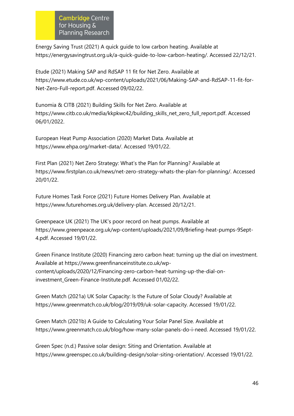Energy Saving Trust (2021) A quick guide to low carbon heating. Available at [https://energysavingtrust.org.uk/a-quick-guide-to-low-carbon-heating/.](https://energysavingtrust.org.uk/a-quick-guide-to-low-carbon-heating/) Accessed 22/12/21.

Etude (2021) Making SAP and RdSAP 11 fit for Net Zero. Available at [https://www.etude.co.uk/wp-content/uploads/2021/06/Making-SAP-and-RdSAP-11-fit-for-](https://www.etude.co.uk/wp-content/uploads/2021/06/Making-SAP-and-RdSAP-11-fit-for-Net-Zero-Full-report.pdf)[Net-Zero-Full-report.pdf.](https://www.etude.co.uk/wp-content/uploads/2021/06/Making-SAP-and-RdSAP-11-fit-for-Net-Zero-Full-report.pdf) Accessed 09/02/22.

Eunomia & CITB (2021) Building Skills for Net Zero. Available at [https://www.citb.co.uk/media/kkpkwc42/building\\_skills\\_net\\_zero\\_full\\_report.pdf.](https://www.citb.co.uk/media/kkpkwc42/building_skills_net_zero_full_report.pdf) Accessed 06/01/2022.

European Heat Pump Association (2020) Market Data. Available at [https://www.ehpa.org/market-data/.](https://www.ehpa.org/market-data/) Accessed 19/01/22.

First Plan (2021) Net Zero Strategy: What's the Plan for Planning? Available at https://www.firstplan.co.uk/news/net-zero-strategy-whats-the-plan-for-planning/. Accessed 20/01/22.

Future Homes Task Force (2021) Future Homes Delivery Plan. Available at [https://www.futurehomes.org.uk/delivery-plan.](https://www.futurehomes.org.uk/delivery-plan) Accessed 20/12/21.

Greenpeace UK (2021) The UK's poor record on heat pumps. Available at [https://www.greenpeace.org.uk/wp-content/uploads/2021/09/Briefing-heat-pumps-9Sept-](https://www.greenpeace.org.uk/wp-content/uploads/2021/09/Briefing-heat-pumps-9Sept-4.pdf.%20Accessed%2019/01/22)[4.pdf. Accessed 19/01/22.](https://www.greenpeace.org.uk/wp-content/uploads/2021/09/Briefing-heat-pumps-9Sept-4.pdf.%20Accessed%2019/01/22)

Green Finance Institute (2020) Financing zero carbon heat: turning up the dial on investment. Available at [https://www.greenfinanceinstitute.co.uk/wp](https://www.greenfinanceinstitute.co.uk/wp-content/uploads/2020/12/Financing-zero-carbon-heat-turning-up-the-dial-on-investment_Green-Finance-Institute.pdf)[content/uploads/2020/12/Financing-zero-carbon-heat-turning-up-the-dial-on](https://www.greenfinanceinstitute.co.uk/wp-content/uploads/2020/12/Financing-zero-carbon-heat-turning-up-the-dial-on-investment_Green-Finance-Institute.pdf)[investment\\_Green-Finance-Institute.pdf.](https://www.greenfinanceinstitute.co.uk/wp-content/uploads/2020/12/Financing-zero-carbon-heat-turning-up-the-dial-on-investment_Green-Finance-Institute.pdf) Accessed 01/02/22.

Green Match (2021a) UK Solar Capacity: Is the Future of Solar Cloudy? Available at [https://www.greenmatch.co.uk/blog/2019/09/uk-solar-capacity.](https://www.greenmatch.co.uk/blog/2019/09/uk-solar-capacity) Accessed 19/01/22.

Green Match (2021b) A Guide to Calculating Your Solar Panel Size. Available at [https://www.greenmatch.co.uk/blog/how-many-solar-panels-do-i-need.](https://www.greenmatch.co.uk/blog/how-many-solar-panels-do-i-need) Accessed 19/01/22.

Green Spec (n.d.) Passive solar design: Siting and Orientation. Available at [https://www.greenspec.co.uk/building-design/solar-siting-orientation/.](https://www.greenspec.co.uk/building-design/solar-siting-orientation/) Accessed 19/01/22.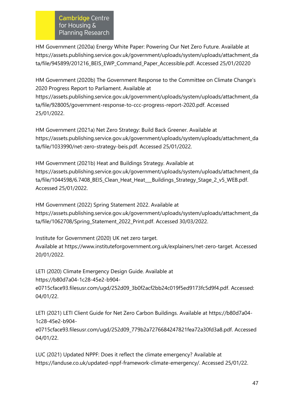HM Government (2020a) Energy White Paper: Powering Our Net Zero Future. Available at [https://assets.publishing.service.gov.uk/government/uploads/system/uploads/attachment\\_da](https://assets.publishing.service.gov.uk/government/uploads/system/uploads/attachment_data/file/945899/201216_BEIS_EWP_Command_Paper_Accessible.pdf) [ta/file/945899/201216\\_BEIS\\_EWP\\_Command\\_Paper\\_Accessible.pdf.](https://assets.publishing.service.gov.uk/government/uploads/system/uploads/attachment_data/file/945899/201216_BEIS_EWP_Command_Paper_Accessible.pdf) Accessed 25/01/20220

HM Government (2020b) The Government Response to the Committee on Climate Change's 2020 Progress Report to Parliament. Available at [https://assets.publishing.service.gov.uk/government/uploads/system/uploads/attachment\\_da](https://assets.publishing.service.gov.uk/government/uploads/system/uploads/attachment_data/file/928005/government-response-to-ccc-progress-report-2020.pdf) [ta/file/928005/government-response-to-ccc-progress-report-2020.pdf.](https://assets.publishing.service.gov.uk/government/uploads/system/uploads/attachment_data/file/928005/government-response-to-ccc-progress-report-2020.pdf) Accessed 25/01/2022.

HM Government (2021a) Net Zero Strategy: Build Back Greener. Available at [https://assets.publishing.service.gov.uk/government/uploads/system/uploads/attachment\\_da](https://assets.publishing.service.gov.uk/government/uploads/system/uploads/attachment_data/file/1033990/net-zero-strategy-beis.pdf) [ta/file/1033990/net-zero-strategy-beis.pdf.](https://assets.publishing.service.gov.uk/government/uploads/system/uploads/attachment_data/file/1033990/net-zero-strategy-beis.pdf) Accessed 25/01/2022.

HM Government (2021b) Heat and Buildings Strategy. Available at [https://assets.publishing.service.gov.uk/government/uploads/system/uploads/attachment\\_da](https://assets.publishing.service.gov.uk/government/uploads/system/uploads/attachment_data/file/1044598/6.7408_BEIS_Clean_Heat_Heat___Buildings_Strategy_Stage_2_v5_WEB.pdf) [ta/file/1044598/6.7408\\_BEIS\\_Clean\\_Heat\\_Heat\\_\\_\\_Buildings\\_Strategy\\_Stage\\_2\\_v5\\_WEB.pdf.](https://assets.publishing.service.gov.uk/government/uploads/system/uploads/attachment_data/file/1044598/6.7408_BEIS_Clean_Heat_Heat___Buildings_Strategy_Stage_2_v5_WEB.pdf) Accessed 25/01/2022.

HM Government (2022) Spring Statement 2022. Available at [https://assets.publishing.service.gov.uk/government/uploads/system/uploads/attachment\\_da](https://assets.publishing.service.gov.uk/government/uploads/system/uploads/attachment_data/file/1062708/Spring_Statement_2022_Print.pdf) [ta/file/1062708/Spring\\_Statement\\_2022\\_Print.pdf.](https://assets.publishing.service.gov.uk/government/uploads/system/uploads/attachment_data/file/1062708/Spring_Statement_2022_Print.pdf) Accessed 30/03/2022.

Institute for Government (2020) UK net zero target. Available at [https://www.instituteforgovernment.org.uk/explainers/net-zero-target.](https://www.instituteforgovernment.org.uk/explainers/net-zero-target) Accessed 20/01/2022.

LETI (2020) Climate Emergency Design Guide. Available at [https://b80d7a04-1c28-45e2-b904-](https://b80d7a04-1c28-45e2-b904-e0715cface93.filesusr.com/ugd/252d09_3b0f2acf2bb24c019f5ed9173fc5d9f4.pdf)

[e0715cface93.filesusr.com/ugd/252d09\\_3b0f2acf2bb24c019f5ed9173fc5d9f4.pdf.](https://b80d7a04-1c28-45e2-b904-e0715cface93.filesusr.com/ugd/252d09_3b0f2acf2bb24c019f5ed9173fc5d9f4.pdf) Accessed: 04/01/22.

LETI (2021) LETI Client Guide for Net Zero Carbon Buildings. Available at [https://b80d7a04-](https://b80d7a04-1c28-45e2-b904-e0715cface93.filesusr.com/ugd/252d09_779b2a7276684247821fea72a30fd3a8.pdf) [1c28-45e2-b904-](https://b80d7a04-1c28-45e2-b904-e0715cface93.filesusr.com/ugd/252d09_779b2a7276684247821fea72a30fd3a8.pdf)

[e0715cface93.filesusr.com/ugd/252d09\\_779b2a7276684247821fea72a30fd3a8.pdf.](https://b80d7a04-1c28-45e2-b904-e0715cface93.filesusr.com/ugd/252d09_779b2a7276684247821fea72a30fd3a8.pdf) Accessed 04/01/22.

LUC (2021) Updated NPPF: Does it reflect the climate emergency? Available at [https://landuse.co.uk/updated-nppf-framework-climate-emergency/.](https://landuse.co.uk/updated-nppf-framework-climate-emergency/) Accessed 25/01/22.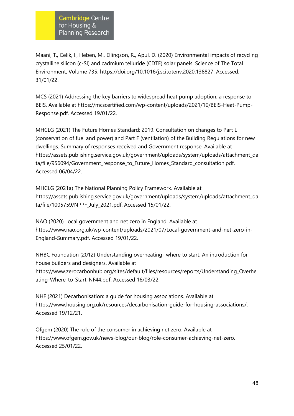Maani, T., Celik, I., Heben, M., Ellingson, R., Apul, D. (2020) Environmental impacts of recycling crystalline silicon (c-SI) and cadmium telluride (CDTE) solar panels. Science of The Total Environment, Volume 735. [https://doi.org/10.1016/j.scitotenv.2020.138827.](https://doi.org/10.1016/j.scitotenv.2020.138827) Accessed: 31/01/22.

MCS (2021) Addressing the key barriers to widespread heat pump adoption: a response to BEIS. Available at https://mcscertified.com/wp-content/uploads/2021/10/BEIS-Heat-Pump-Response.pdf. Accessed 19/01/22.

MHCLG (2021) The Future Homes Standard: 2019. Consultation on changes to Part L (conservation of fuel and power) and Part F (ventilation) of the Building Regulations for new dwellings. Summary of responses received and Government response. Available at [https://assets.publishing.service.gov.uk/government/uploads/system/uploads/attachment\\_da](https://assets.publishing.service.gov.uk/government/uploads/system/uploads/attachment_data/file/956094/Government_response_to_Future_Homes_Standard_consultation.pdf) [ta/file/956094/Government\\_response\\_to\\_Future\\_Homes\\_Standard\\_consultation.pdf.](https://assets.publishing.service.gov.uk/government/uploads/system/uploads/attachment_data/file/956094/Government_response_to_Future_Homes_Standard_consultation.pdf) Accessed 06/04/22.

MHCLG (2021a) The National Planning Policy Framework. Available at [https://assets.publishing.service.gov.uk/government/uploads/system/uploads/attachment\\_da](https://assets.publishing.service.gov.uk/government/uploads/system/uploads/attachment_data/file/1005759/NPPF_July_2021.pdf) [ta/file/1005759/NPPF\\_July\\_2021.pdf.](https://assets.publishing.service.gov.uk/government/uploads/system/uploads/attachment_data/file/1005759/NPPF_July_2021.pdf) Accessed 15/01/22.

NAO (2020) Local government and net zero in England. Available at [https://www.nao.org.uk/wp-content/uploads/2021/07/Local-government-and-net-zero-in-](https://www.nao.org.uk/wp-content/uploads/2021/07/Local-government-and-net-zero-in-England-Summary.pdf)[England-Summary.pdf.](https://www.nao.org.uk/wp-content/uploads/2021/07/Local-government-and-net-zero-in-England-Summary.pdf) Accessed 19/01/22.

NHBC Foundation (2012) Understanding overheating- where to start: An introduction for house builders and designers. Available at [https://www.zerocarbonhub.org/sites/default/files/resources/reports/Understanding\\_Overhe](https://www.zerocarbonhub.org/sites/default/files/resources/reports/Understanding_Overheating-Where_to_Start_NF44.pdf) [ating-Where\\_to\\_Start\\_NF44.pdf.](https://www.zerocarbonhub.org/sites/default/files/resources/reports/Understanding_Overheating-Where_to_Start_NF44.pdf) Accessed 16/03/22.

NHF (2021) Decarbonisation: a guide for housing associations. Available at https://www.housing.org.uk/resources/decarbonisation-guide-for-housing-associations/. Accessed 19/12/21.

Ofgem (2020) The role of the consumer in achieving net zero. Available at [https://www.ofgem.gov.uk/news-blog/our-blog/role-consumer-achieving-net-zero.](https://www.ofgem.gov.uk/news-blog/our-blog/role-consumer-achieving-net-zero) Accessed 25/01/22.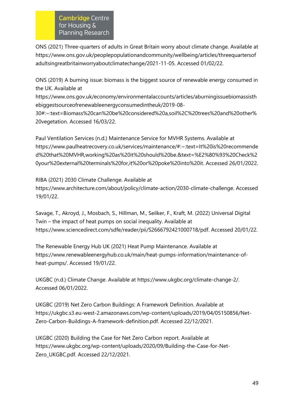ONS (2021) Three-quarters of adults in Great Britain worry about climate change. Available at [https://www.ons.gov.uk/peoplepopulationandcommunity/wellbeing/articles/threequartersof](https://www.ons.gov.uk/peoplepopulationandcommunity/wellbeing/articles/threequartersofadultsingreatbritainworryaboutclimatechange/2021-11-05) [adultsingreatbritainworryaboutclimatechange/2021-11-05.](https://www.ons.gov.uk/peoplepopulationandcommunity/wellbeing/articles/threequartersofadultsingreatbritainworryaboutclimatechange/2021-11-05) Accessed 01/02/22.

ONS (2019) A burning issue: biomass is the biggest source of renewable energy consumed in the UK. Available at

[https://www.ons.gov.uk/economy/environmentalaccounts/articles/aburningissuebiomassisth](https://www.ons.gov.uk/economy/environmentalaccounts/articles/aburningissuebiomassisthebiggestsourceofrenewableenergyconsumedintheuk/2019-08-30#:~:text=Biomass%20can%20be%20considered%20a,soil%2C%20trees%20and%20other%20vegetation) [ebiggestsourceofrenewableenergyconsumedintheuk/2019-08-](https://www.ons.gov.uk/economy/environmentalaccounts/articles/aburningissuebiomassisthebiggestsourceofrenewableenergyconsumedintheuk/2019-08-30#:~:text=Biomass%20can%20be%20considered%20a,soil%2C%20trees%20and%20other%20vegetation)

[30#:~:text=Biomass%20can%20be%20considered%20a,soil%2C%20trees%20and%20other%](https://www.ons.gov.uk/economy/environmentalaccounts/articles/aburningissuebiomassisthebiggestsourceofrenewableenergyconsumedintheuk/2019-08-30#:~:text=Biomass%20can%20be%20considered%20a,soil%2C%20trees%20and%20other%20vegetation) [20vegetation.](https://www.ons.gov.uk/economy/environmentalaccounts/articles/aburningissuebiomassisthebiggestsourceofrenewableenergyconsumedintheuk/2019-08-30#:~:text=Biomass%20can%20be%20considered%20a,soil%2C%20trees%20and%20other%20vegetation) Accessed 16/03/22.

Paul Ventilation Services (n.d.) Maintenance Service for MVHR Systems. Available at [https://www.paulheatrecovery.co.uk/services/maintenance/#:~:text=It%20is%20recommende](https://www.paulheatrecovery.co.uk/services/maintenance/#:~:text=It%20is%20recommended%20that%20MVHR,working%20as%20it%20should%20be.&text=%E2%80%93%20Check%20your%20external%20terminals%20for,it%20or%20poke%20into%20it) [d%20that%20MVHR,working%20as%20it%20should%20be.&text=%E2%80%93%20Check%2](https://www.paulheatrecovery.co.uk/services/maintenance/#:~:text=It%20is%20recommended%20that%20MVHR,working%20as%20it%20should%20be.&text=%E2%80%93%20Check%20your%20external%20terminals%20for,it%20or%20poke%20into%20it) [0your%20external%20terminals%20for,it%20or%20poke%20into%20it.](https://www.paulheatrecovery.co.uk/services/maintenance/#:~:text=It%20is%20recommended%20that%20MVHR,working%20as%20it%20should%20be.&text=%E2%80%93%20Check%20your%20external%20terminals%20for,it%20or%20poke%20into%20it) Accessed 26/01/2022.

RIBA (2021) 2030 Climate Challenge. Available at [https://www.architecture.com/about/policy/climate-action/2030-climate-challenge.](https://www.architecture.com/about/policy/climate-action/2030-climate-challenge) Accessed 19/01/22.

Savage, T., Akroyd, J., Mosbach, S., Hillman, M., Seilker, F., Kraft, M. (2022) Universal Digital Twin – the impact of heat pumps on social inequality. Available at [https://www.sciencedirect.com/sdfe/reader/pii/S2666792421000718/pdf.](https://www.sciencedirect.com/sdfe/reader/pii/S2666792421000718/pdf) Accessed 20/01/22.

The Renewable Energy Hub UK (2021) Heat Pump Maintenance. Available at [https://www.renewableenergyhub.co.uk/main/heat-pumps-information/maintenance-of](https://www.renewableenergyhub.co.uk/main/heat-pumps-information/maintenance-of-heat-pumps/)[heat-pumps/.](https://www.renewableenergyhub.co.uk/main/heat-pumps-information/maintenance-of-heat-pumps/) Accessed 19/01/22.

UKGBC (n.d.) Climate Change. Available at [https://www.ukgbc.org/climate-change-2/.](https://www.ukgbc.org/climate-change-2/) Accessed 06/01/2022.

UKGBC (2019) Net Zero Carbon Buildings: A Framework Definition. Available at [https://ukgbc.s3.eu-west-2.amazonaws.com/wp-content/uploads/2019/04/05150856/Net-](https://ukgbc.s3.eu-west-2.amazonaws.com/wp-content/uploads/2019/04/05150856/Net-Zero-Carbon-Buildings-A-framework-definition.pdf)[Zero-Carbon-Buildings-A-framework-definition.pdf.](https://ukgbc.s3.eu-west-2.amazonaws.com/wp-content/uploads/2019/04/05150856/Net-Zero-Carbon-Buildings-A-framework-definition.pdf) Accessed 22/12/2021.

UKGBC (2020) Building the Case for Net Zero Carbon report. Available at [https://www.ukgbc.org/wp-content/uploads/2020/09/Building-the-Case-for-Net-](https://www.ukgbc.org/wp-content/uploads/2020/09/Building-the-Case-for-Net-Zero_UKGBC.pdf)[Zero\\_UKGBC.pdf.](https://www.ukgbc.org/wp-content/uploads/2020/09/Building-the-Case-for-Net-Zero_UKGBC.pdf) Accessed 22/12/2021.